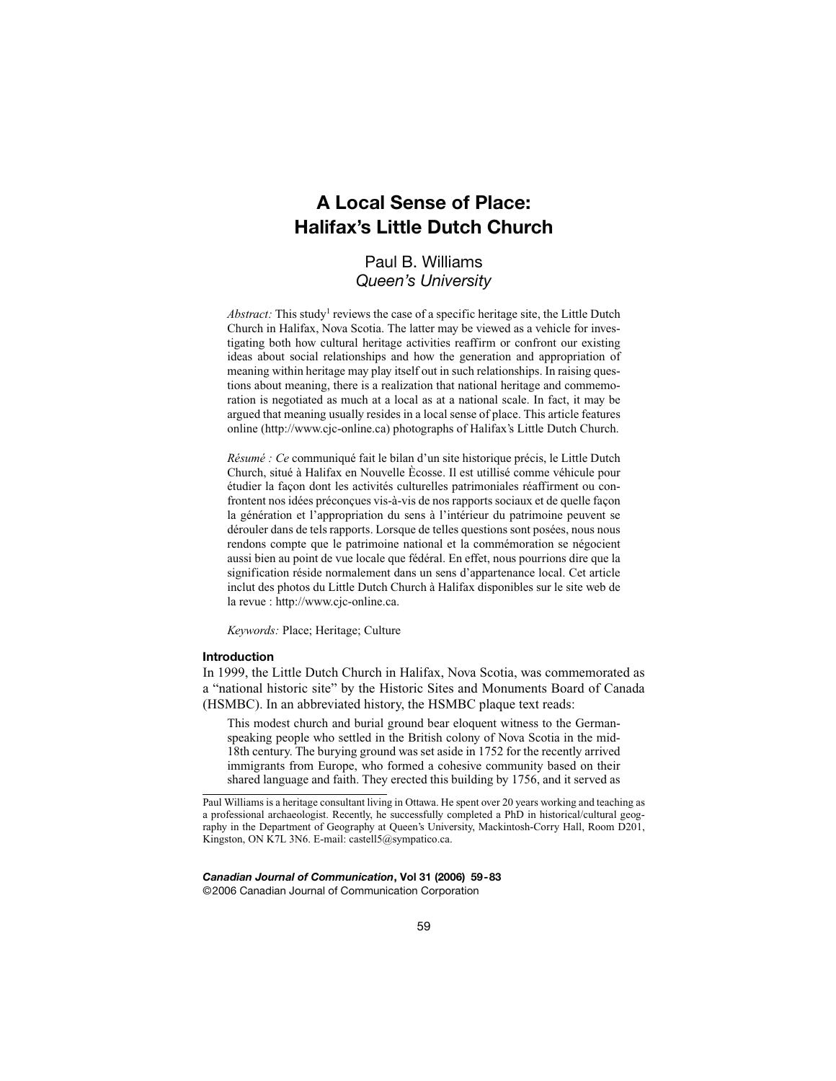# **A Local Sense of Place: Halifax's Little Dutch Church**

# Paul B. Williams *Queen's University*

Abstract: This study<sup>1</sup> reviews the case of a specific heritage site, the Little Dutch Church in Halifax, Nova Scotia. The latter may be viewed as a vehicle for investigating both how cultural heritage activities reaffirm or confront our existing ideas about social relationships and how the generation and appropriation of meaning within heritage may play itself out in such relationships. In raising questions about meaning, there is a realization that national heritage and commemoration is negotiated as much at a local as at a national scale. In fact, it may be argued that meaning usually resides in a local sense of place. This article features online (http://www.cjc-online.ca) photographs of Halifax's Little Dutch Church.

*Résumé : Ce* communiqué fait le bilan d'un site historique précis, le Little Dutch Church, situé à Halifax en Nouvelle Ècosse. Il est utillisé comme véhicule pour étudier la façon dont les activités culturelles patrimoniales réaffirment ou confrontent nos idées préconçues vis-à-vis de nos rapports sociaux et de quelle façon la génération et l'appropriation du sens à l'intérieur du patrimoine peuvent se dérouler dans de tels rapports. Lorsque de telles questions sont posées, nous nous rendons compte que le patrimoine national et la commémoration se négocient aussi bien au point de vue locale que fédéral. En effet, nous pourrions dire que la signification réside normalement dans un sens d'appartenance local. Cet article inclut des photos du Little Dutch Church à Halifax disponibles sur le site web de la revue : http://www.cjc-online.ca.

*Keywords:* Place; Heritage; Culture

# **Introduction**

In 1999, the Little Dutch Church in Halifax, Nova Scotia, was commemorated as a "national historic site" by the Historic Sites and Monuments Board of Canada (HSMBC). In an abbreviated history, the HSMBC plaque text reads:

This modest church and burial ground bear eloquent witness to the Germanspeaking people who settled in the British colony of Nova Scotia in the mid-18th century. The burying ground was set aside in 1752 for the recently arrived immigrants from Europe, who formed a cohesive community based on their shared language and faith. They erected this building by 1756, and it served as

*Canadian Journal of Communication***, Vol 31 (2006) 59-83** ©2006 Canadian Journal of Communication Corporation

Paul Williams is a heritage consultant living in Ottawa. He spent over 20 years working and teaching as a professional archaeologist. Recently, he successfully completed a PhD in historical/cultural geography in the Department of Geography at Queen's University, Mackintosh-Corry Hall, Room D201, Kingston, ON K7L 3N6. E-mail: castell5@sympatico.ca.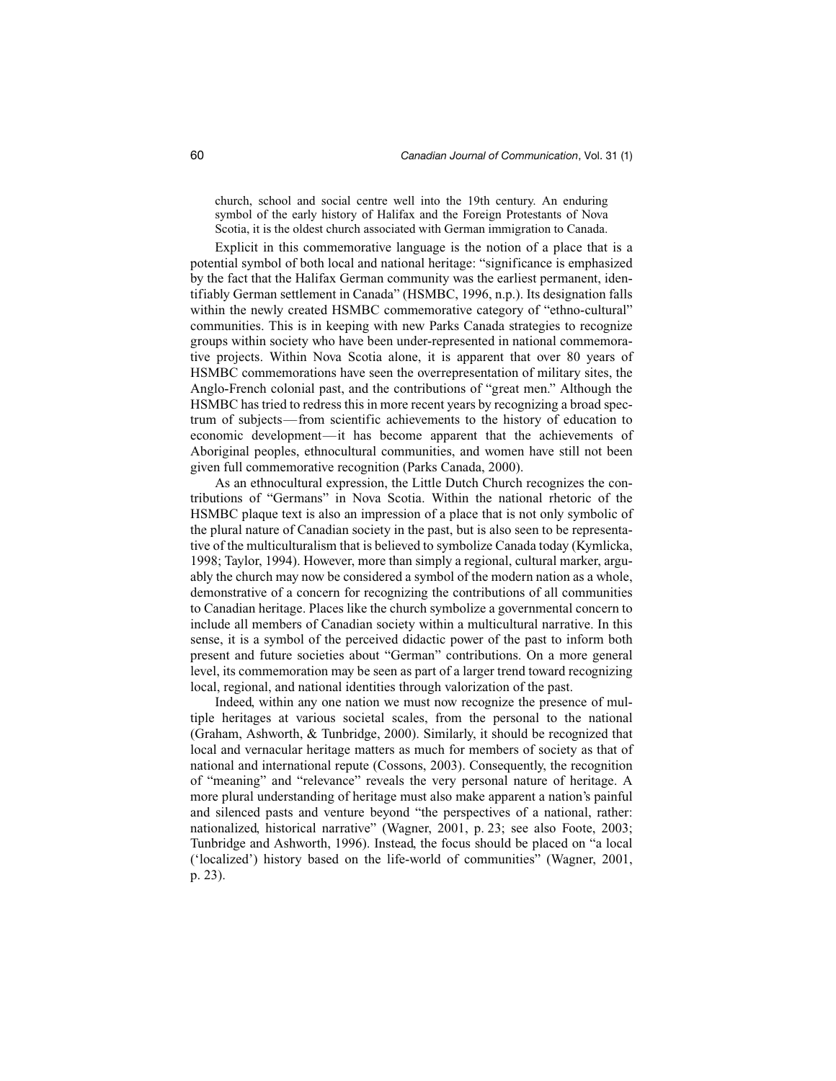church, school and social centre well into the 19th century. An enduring symbol of the early history of Halifax and the Foreign Protestants of Nova Scotia, it is the oldest church associated with German immigration to Canada.

Explicit in this commemorative language is the notion of a place that is a potential symbol of both local and national heritage: "significance is emphasized by the fact that the Halifax German community was the earliest permanent, identifiably German settlement in Canada" (HSMBC, 1996, n.p.). Its designation falls within the newly created HSMBC commemorative category of "ethno-cultural" communities. This is in keeping with new Parks Canada strategies to recognize groups within society who have been under-represented in national commemorative projects. Within Nova Scotia alone, it is apparent that over 80 years of HSMBC commemorations have seen the overrepresentation of military sites, the Anglo-French colonial past, and the contributions of "great men." Although the HSMBC has tried to redress this in more recent years by recognizing a broad spectrum of subjects—from scientific achievements to the history of education to economic development—it has become apparent that the achievements of Aboriginal peoples, ethnocultural communities, and women have still not been given full commemorative recognition (Parks Canada, 2000).

As an ethnocultural expression, the Little Dutch Church recognizes the contributions of "Germans" in Nova Scotia. Within the national rhetoric of the HSMBC plaque text is also an impression of a place that is not only symbolic of the plural nature of Canadian society in the past, but is also seen to be representative of the multiculturalism that is believed to symbolize Canada today (Kymlicka, 1998; Taylor, 1994). However, more than simply a regional, cultural marker, arguably the church may now be considered a symbol of the modern nation as a whole, demonstrative of a concern for recognizing the contributions of all communities to Canadian heritage. Places like the church symbolize a governmental concern to include all members of Canadian society within a multicultural narrative. In this sense, it is a symbol of the perceived didactic power of the past to inform both present and future societies about "German" contributions. On a more general level, its commemoration may be seen as part of a larger trend toward recognizing local, regional, and national identities through valorization of the past.

Indeed, within any one nation we must now recognize the presence of multiple heritages at various societal scales, from the personal to the national (Graham, Ashworth, & Tunbridge, 2000). Similarly, it should be recognized that local and vernacular heritage matters as much for members of society as that of national and international repute (Cossons, 2003). Consequently, the recognition of "meaning" and "relevance" reveals the very personal nature of heritage. A more plural understanding of heritage must also make apparent a nation's painful and silenced pasts and venture beyond "the perspectives of a national, rather: nationalized, historical narrative" (Wagner, 2001, p. 23; see also Foote, 2003; Tunbridge and Ashworth, 1996). Instead, the focus should be placed on "a local ('localized') history based on the life-world of communities" (Wagner, 2001, p. 23).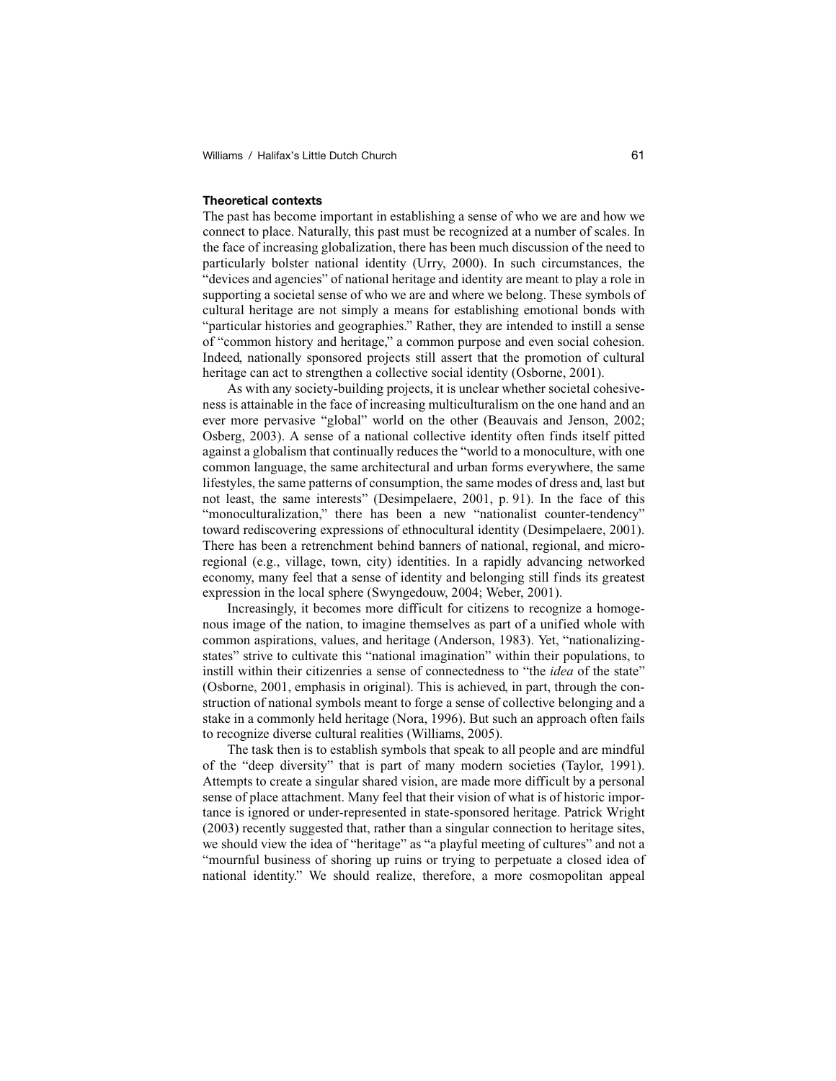### **Theoretical contexts**

The past has become important in establishing a sense of who we are and how we connect to place. Naturally, this past must be recognized at a number of scales. In the face of increasing globalization, there has been much discussion of the need to particularly bolster national identity (Urry, 2000). In such circumstances, the "devices and agencies" of national heritage and identity are meant to play a role in supporting a societal sense of who we are and where we belong. These symbols of cultural heritage are not simply a means for establishing emotional bonds with "particular histories and geographies." Rather, they are intended to instill a sense of "common history and heritage," a common purpose and even social cohesion. Indeed, nationally sponsored projects still assert that the promotion of cultural heritage can act to strengthen a collective social identity (Osborne, 2001).

As with any society-building projects, it is unclear whether societal cohesiveness is attainable in the face of increasing multiculturalism on the one hand and an ever more pervasive "global" world on the other (Beauvais and Jenson, 2002; Osberg, 2003). A sense of a national collective identity often finds itself pitted against a globalism that continually reduces the "world to a monoculture, with one common language, the same architectural and urban forms everywhere, the same lifestyles, the same patterns of consumption, the same modes of dress and, last but not least, the same interests" (Desimpelaere, 2001, p. 91). In the face of this "monoculturalization," there has been a new "nationalist counter-tendency" toward rediscovering expressions of ethnocultural identity (Desimpelaere, 2001). There has been a retrenchment behind banners of national, regional, and microregional (e.g., village, town, city) identities. In a rapidly advancing networked economy, many feel that a sense of identity and belonging still finds its greatest expression in the local sphere (Swyngedouw, 2004; Weber, 2001).

Increasingly, it becomes more difficult for citizens to recognize a homogenous image of the nation, to imagine themselves as part of a unified whole with common aspirations, values, and heritage (Anderson, 1983). Yet, "nationalizingstates" strive to cultivate this "national imagination" within their populations, to instill within their citizenries a sense of connectedness to "the *idea* of the state" (Osborne, 2001, emphasis in original). This is achieved, in part, through the construction of national symbols meant to forge a sense of collective belonging and a stake in a commonly held heritage (Nora, 1996). But such an approach often fails to recognize diverse cultural realities (Williams, 2005).

The task then is to establish symbols that speak to all people and are mindful of the "deep diversity" that is part of many modern societies (Taylor, 1991). Attempts to create a singular shared vision, are made more difficult by a personal sense of place attachment. Many feel that their vision of what is of historic importance is ignored or under-represented in state-sponsored heritage. Patrick Wright (2003) recently suggested that, rather than a singular connection to heritage sites, we should view the idea of "heritage" as "a playful meeting of cultures" and not a "mournful business of shoring up ruins or trying to perpetuate a closed idea of national identity." We should realize, therefore, a more cosmopolitan appeal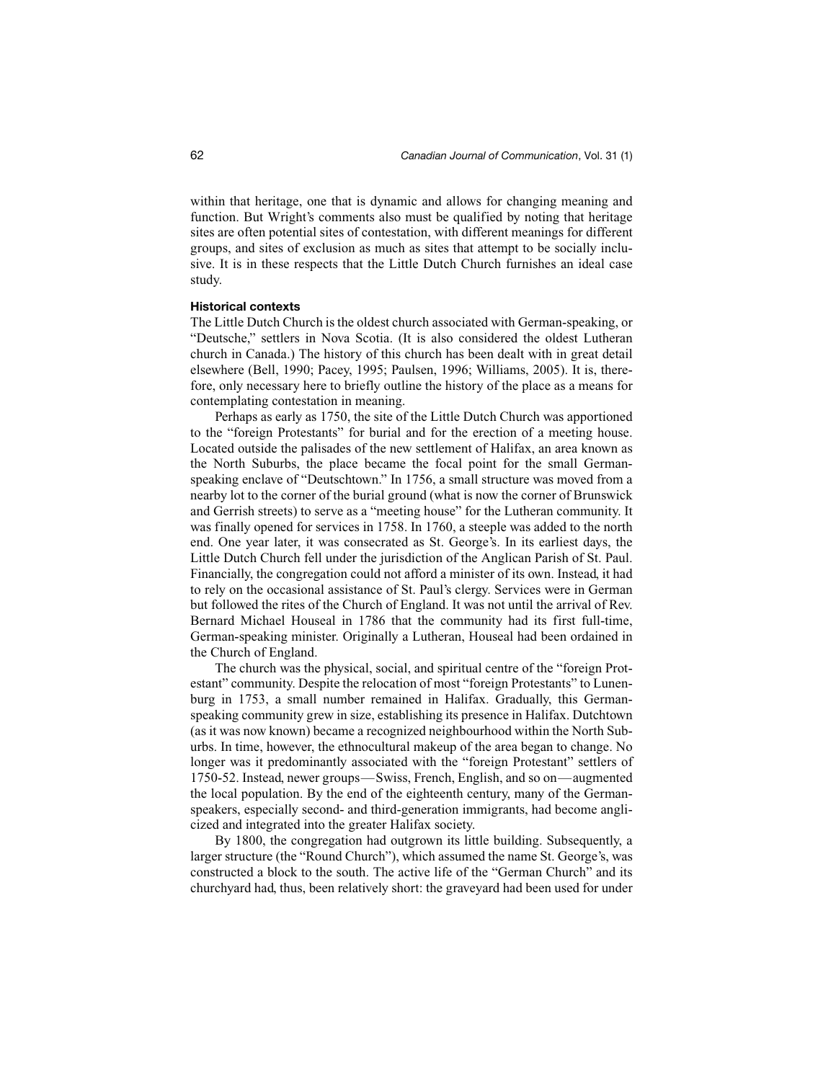within that heritage, one that is dynamic and allows for changing meaning and function. But Wright's comments also must be qualified by noting that heritage sites are often potential sites of contestation, with different meanings for different groups, and sites of exclusion as much as sites that attempt to be socially inclusive. It is in these respects that the Little Dutch Church furnishes an ideal case study.

# **Historical contexts**

The Little Dutch Church is the oldest church associated with German-speaking, or "Deutsche," settlers in Nova Scotia. (It is also considered the oldest Lutheran church in Canada.) The history of this church has been dealt with in great detail elsewhere (Bell, 1990; Pacey, 1995; Paulsen, 1996; Williams, 2005). It is, therefore, only necessary here to briefly outline the history of the place as a means for contemplating contestation in meaning.

Perhaps as early as 1750, the site of the Little Dutch Church was apportioned to the "foreign Protestants" for burial and for the erection of a meeting house. Located outside the palisades of the new settlement of Halifax, an area known as the North Suburbs, the place became the focal point for the small Germanspeaking enclave of "Deutschtown." In 1756, a small structure was moved from a nearby lot to the corner of the burial ground (what is now the corner of Brunswick and Gerrish streets) to serve as a "meeting house" for the Lutheran community. It was finally opened for services in 1758. In 1760, a steeple was added to the north end. One year later, it was consecrated as St. George's. In its earliest days, the Little Dutch Church fell under the jurisdiction of the Anglican Parish of St. Paul. Financially, the congregation could not afford a minister of its own. Instead, it had to rely on the occasional assistance of St. Paul's clergy. Services were in German but followed the rites of the Church of England. It was not until the arrival of Rev. Bernard Michael Houseal in 1786 that the community had its first full-time, German-speaking minister. Originally a Lutheran, Houseal had been ordained in the Church of England.

The church was the physical, social, and spiritual centre of the "foreign Protestant" community. Despite the relocation of most "foreign Protestants" to Lunenburg in 1753, a small number remained in Halifax. Gradually, this Germanspeaking community grew in size, establishing its presence in Halifax. Dutchtown (as it was now known) became a recognized neighbourhood within the North Suburbs. In time, however, the ethnocultural makeup of the area began to change. No longer was it predominantly associated with the "foreign Protestant" settlers of 1750-52. Instead, newer groups—Swiss, French, English, and so on—augmented the local population. By the end of the eighteenth century, many of the Germanspeakers, especially second- and third-generation immigrants, had become anglicized and integrated into the greater Halifax society.

By 1800, the congregation had outgrown its little building. Subsequently, a larger structure (the "Round Church"), which assumed the name St. George's, was constructed a block to the south. The active life of the "German Church" and its churchyard had, thus, been relatively short: the graveyard had been used for under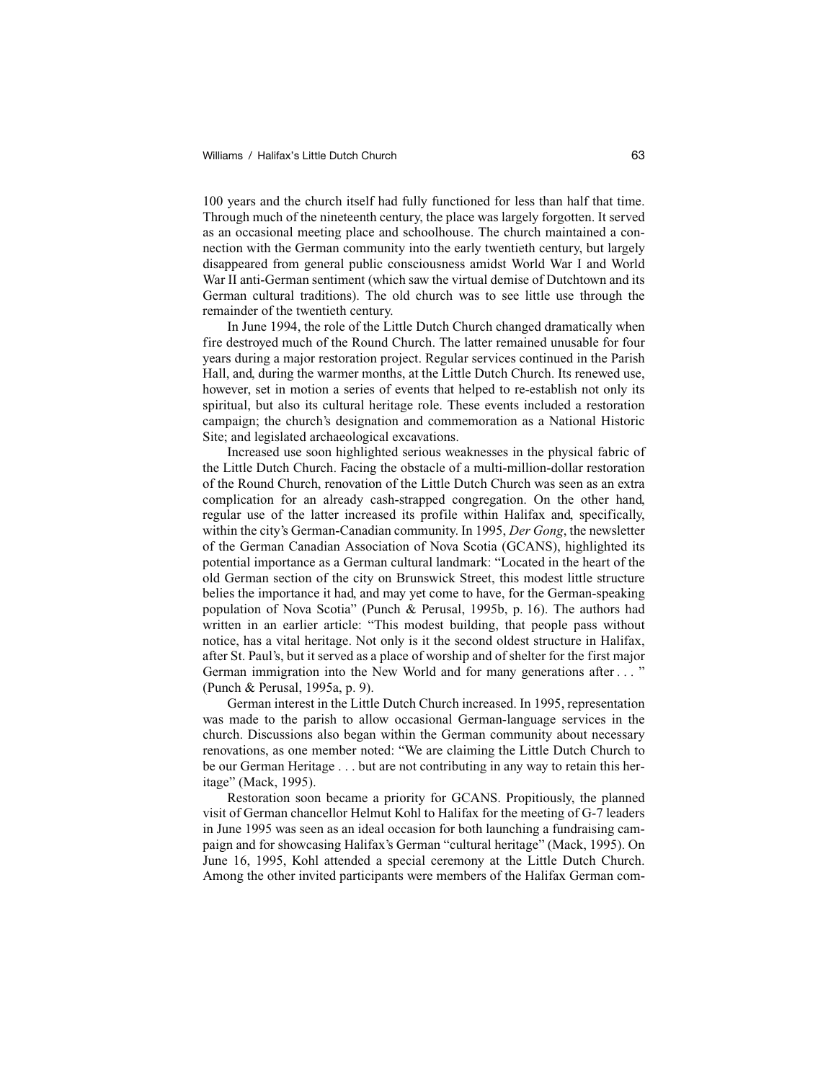100 years and the church itself had fully functioned for less than half that time. Through much of the nineteenth century, the place was largely forgotten. It served as an occasional meeting place and schoolhouse. The church maintained a connection with the German community into the early twentieth century, but largely disappeared from general public consciousness amidst World War I and World War II anti-German sentiment (which saw the virtual demise of Dutchtown and its German cultural traditions). The old church was to see little use through the remainder of the twentieth century.

In June 1994, the role of the Little Dutch Church changed dramatically when fire destroyed much of the Round Church. The latter remained unusable for four years during a major restoration project. Regular services continued in the Parish Hall, and, during the warmer months, at the Little Dutch Church. Its renewed use, however, set in motion a series of events that helped to re-establish not only its spiritual, but also its cultural heritage role. These events included a restoration campaign; the church's designation and commemoration as a National Historic Site; and legislated archaeological excavations.

Increased use soon highlighted serious weaknesses in the physical fabric of the Little Dutch Church. Facing the obstacle of a multi-million-dollar restoration of the Round Church, renovation of the Little Dutch Church was seen as an extra complication for an already cash-strapped congregation. On the other hand, regular use of the latter increased its profile within Halifax and, specifically, within the city's German-Canadian community. In 1995, *Der Gong*, the newsletter of the German Canadian Association of Nova Scotia (GCANS), highlighted its potential importance as a German cultural landmark: "Located in the heart of the old German section of the city on Brunswick Street, this modest little structure belies the importance it had, and may yet come to have, for the German-speaking population of Nova Scotia" (Punch & Perusal, 1995b, p. 16). The authors had written in an earlier article: "This modest building, that people pass without notice, has a vital heritage. Not only is it the second oldest structure in Halifax, after St. Paul's, but it served as a place of worship and of shelter for the first major German immigration into the New World and for many generations after . . . " (Punch & Perusal, 1995a, p. 9).

German interest in the Little Dutch Church increased. In 1995, representation was made to the parish to allow occasional German-language services in the church. Discussions also began within the German community about necessary renovations, as one member noted: "We are claiming the Little Dutch Church to be our German Heritage . . . but are not contributing in any way to retain this heritage" (Mack, 1995).

Restoration soon became a priority for GCANS. Propitiously, the planned visit of German chancellor Helmut Kohl to Halifax for the meeting of G-7 leaders in June 1995 was seen as an ideal occasion for both launching a fundraising campaign and for showcasing Halifax's German "cultural heritage" (Mack, 1995). On June 16, 1995, Kohl attended a special ceremony at the Little Dutch Church. Among the other invited participants were members of the Halifax German com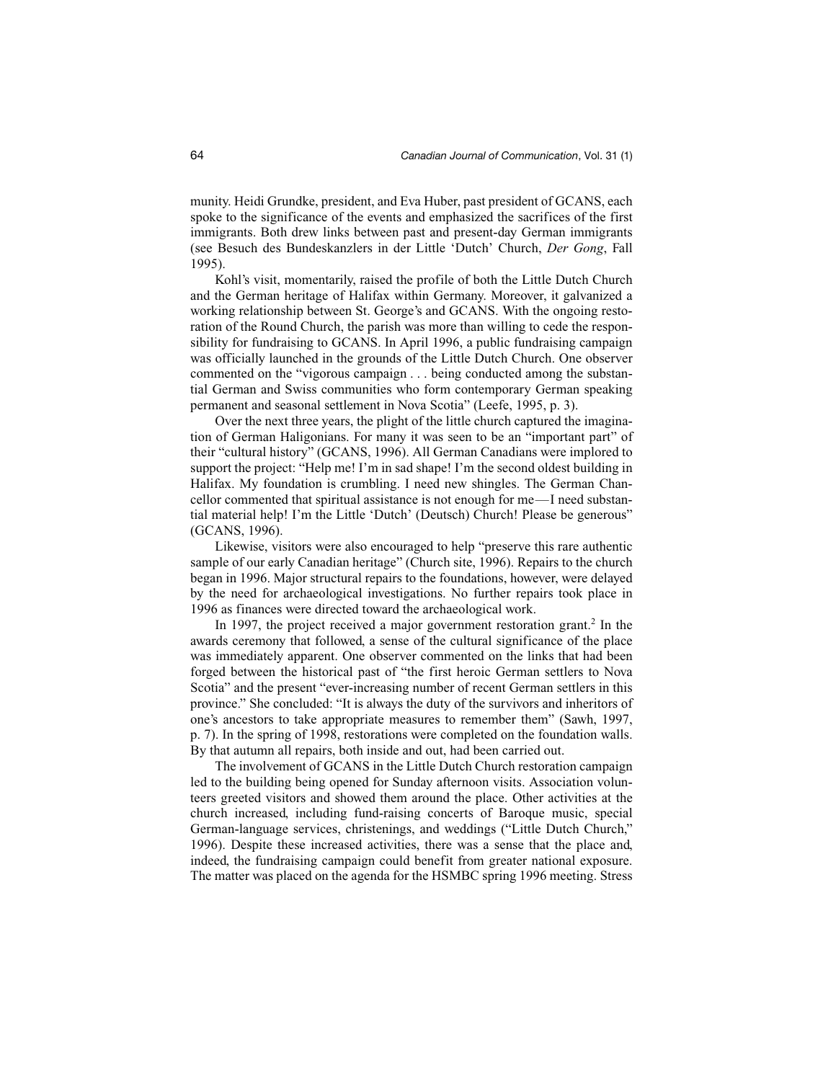munity. Heidi Grundke, president, and Eva Huber, past president of GCANS, each spoke to the significance of the events and emphasized the sacrifices of the first immigrants. Both drew links between past and present-day German immigrants (see Besuch des Bundeskanzlers in der Little 'Dutch' Church, *Der Gong*, Fall 1995).

Kohl's visit, momentarily, raised the profile of both the Little Dutch Church and the German heritage of Halifax within Germany. Moreover, it galvanized a working relationship between St. George's and GCANS. With the ongoing restoration of the Round Church, the parish was more than willing to cede the responsibility for fundraising to GCANS. In April 1996, a public fundraising campaign was officially launched in the grounds of the Little Dutch Church. One observer commented on the "vigorous campaign . . . being conducted among the substantial German and Swiss communities who form contemporary German speaking permanent and seasonal settlement in Nova Scotia" (Leefe, 1995, p. 3).

Over the next three years, the plight of the little church captured the imagination of German Haligonians. For many it was seen to be an "important part" of their "cultural history" (GCANS, 1996). All German Canadians were implored to support the project: "Help me! I'm in sad shape! I'm the second oldest building in Halifax. My foundation is crumbling. I need new shingles. The German Chancellor commented that spiritual assistance is not enough for me—I need substantial material help! I'm the Little 'Dutch' (Deutsch) Church! Please be generous" (GCANS, 1996).

Likewise, visitors were also encouraged to help "preserve this rare authentic sample of our early Canadian heritage" (Church site, 1996). Repairs to the church began in 1996. Major structural repairs to the foundations, however, were delayed by the need for archaeological investigations. No further repairs took place in 1996 as finances were directed toward the archaeological work.

In 1997, the project received a major government restoration grant.<sup>2</sup> In the awards ceremony that followed, a sense of the cultural significance of the place was immediately apparent. One observer commented on the links that had been forged between the historical past of "the first heroic German settlers to Nova Scotia" and the present "ever-increasing number of recent German settlers in this province." She concluded: "It is always the duty of the survivors and inheritors of one's ancestors to take appropriate measures to remember them" (Sawh, 1997, p. 7). In the spring of 1998, restorations were completed on the foundation walls. By that autumn all repairs, both inside and out, had been carried out.

The involvement of GCANS in the Little Dutch Church restoration campaign led to the building being opened for Sunday afternoon visits. Association volunteers greeted visitors and showed them around the place. Other activities at the church increased, including fund-raising concerts of Baroque music, special German-language services, christenings, and weddings ("Little Dutch Church," 1996). Despite these increased activities, there was a sense that the place and, indeed, the fundraising campaign could benefit from greater national exposure. The matter was placed on the agenda for the HSMBC spring 1996 meeting. Stress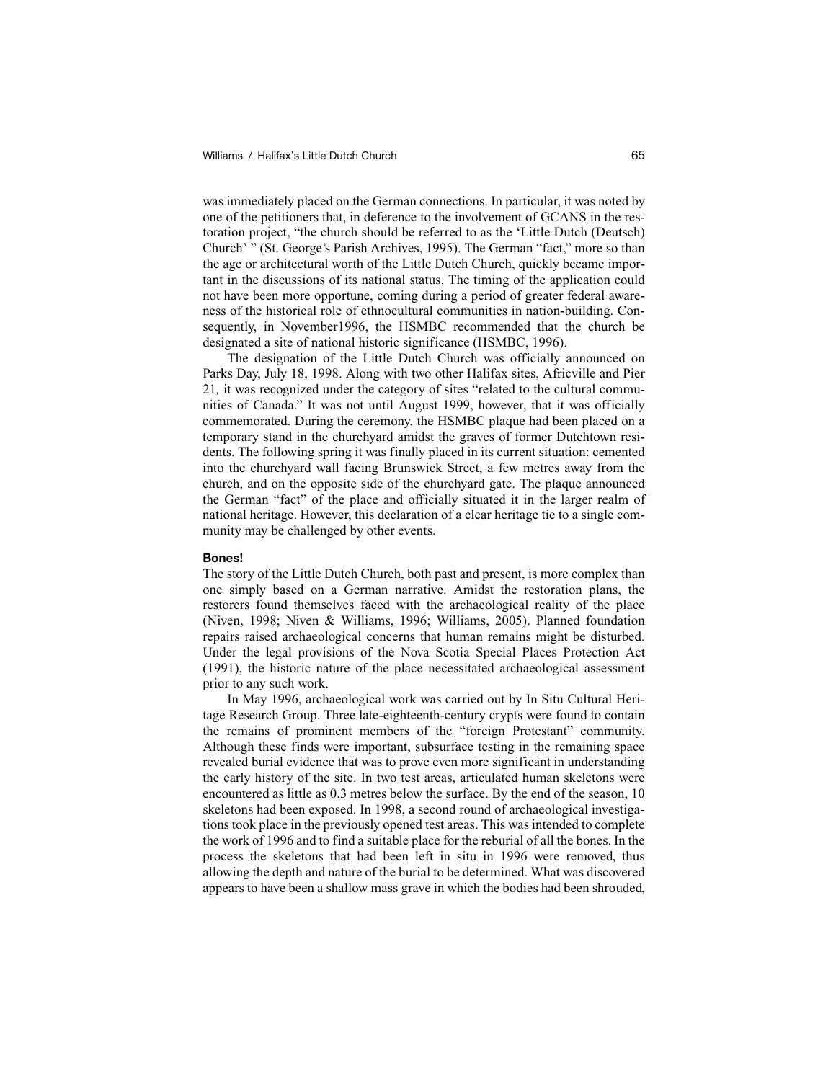was immediately placed on the German connections. In particular, it was noted by one of the petitioners that, in deference to the involvement of GCANS in the restoration project, "the church should be referred to as the 'Little Dutch (Deutsch) Church' " (St. George's Parish Archives, 1995). The German "fact," more so than the age or architectural worth of the Little Dutch Church, quickly became important in the discussions of its national status. The timing of the application could not have been more opportune, coming during a period of greater federal awareness of the historical role of ethnocultural communities in nation-building. Consequently, in November1996, the HSMBC recommended that the church be designated a site of national historic significance (HSMBC, 1996).

The designation of the Little Dutch Church was officially announced on Parks Day, July 18, 1998. Along with two other Halifax sites, Africville and Pier 21*,* it was recognized under the category of sites "related to the cultural communities of Canada." It was not until August 1999, however, that it was officially commemorated. During the ceremony, the HSMBC plaque had been placed on a temporary stand in the churchyard amidst the graves of former Dutchtown residents. The following spring it was finally placed in its current situation: cemented into the churchyard wall facing Brunswick Street, a few metres away from the church, and on the opposite side of the churchyard gate. The plaque announced the German "fact" of the place and officially situated it in the larger realm of national heritage. However, this declaration of a clear heritage tie to a single community may be challenged by other events.

#### **Bones!**

The story of the Little Dutch Church, both past and present, is more complex than one simply based on a German narrative. Amidst the restoration plans, the restorers found themselves faced with the archaeological reality of the place (Niven, 1998; Niven & Williams, 1996; Williams, 2005). Planned foundation repairs raised archaeological concerns that human remains might be disturbed. Under the legal provisions of the Nova Scotia Special Places Protection Act (1991), the historic nature of the place necessitated archaeological assessment prior to any such work.

In May 1996, archaeological work was carried out by In Situ Cultural Heritage Research Group. Three late-eighteenth-century crypts were found to contain the remains of prominent members of the "foreign Protestant" community. Although these finds were important, subsurface testing in the remaining space revealed burial evidence that was to prove even more significant in understanding the early history of the site. In two test areas, articulated human skeletons were encountered as little as 0.3 metres below the surface. By the end of the season, 10 skeletons had been exposed. In 1998, a second round of archaeological investigations took place in the previously opened test areas. This was intended to complete the work of 1996 and to find a suitable place for the reburial of all the bones. In the process the skeletons that had been left in situ in 1996 were removed, thus allowing the depth and nature of the burial to be determined. What was discovered appears to have been a shallow mass grave in which the bodies had been shrouded,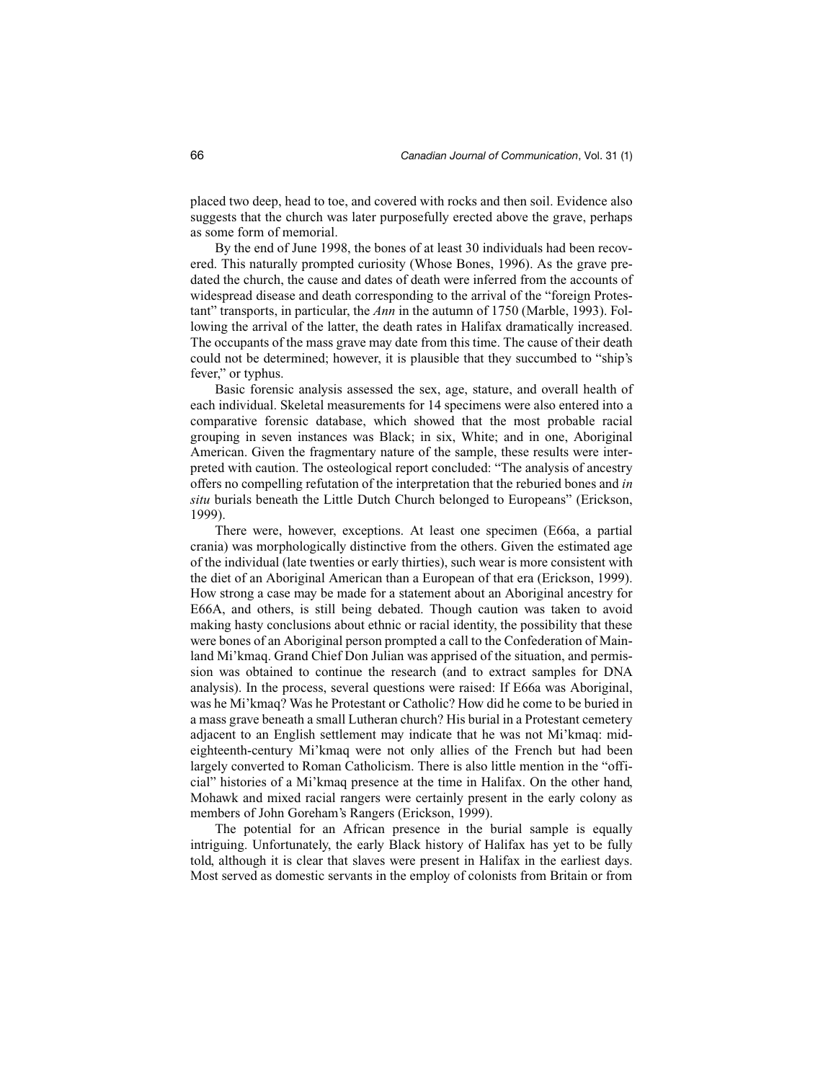placed two deep, head to toe, and covered with rocks and then soil. Evidence also suggests that the church was later purposefully erected above the grave, perhaps as some form of memorial.

By the end of June 1998, the bones of at least 30 individuals had been recovered. This naturally prompted curiosity (Whose Bones, 1996). As the grave predated the church, the cause and dates of death were inferred from the accounts of widespread disease and death corresponding to the arrival of the "foreign Protestant" transports, in particular, the *Ann* in the autumn of 1750 (Marble, 1993). Following the arrival of the latter, the death rates in Halifax dramatically increased. The occupants of the mass grave may date from this time. The cause of their death could not be determined; however, it is plausible that they succumbed to "ship's fever," or typhus.

Basic forensic analysis assessed the sex, age, stature, and overall health of each individual. Skeletal measurements for 14 specimens were also entered into a comparative forensic database, which showed that the most probable racial grouping in seven instances was Black; in six, White; and in one, Aboriginal American. Given the fragmentary nature of the sample, these results were interpreted with caution. The osteological report concluded: "The analysis of ancestry offers no compelling refutation of the interpretation that the reburied bones and *in situ* burials beneath the Little Dutch Church belonged to Europeans" (Erickson, 1999).

There were, however, exceptions. At least one specimen (E66a, a partial crania) was morphologically distinctive from the others. Given the estimated age of the individual (late twenties or early thirties), such wear is more consistent with the diet of an Aboriginal American than a European of that era (Erickson, 1999). How strong a case may be made for a statement about an Aboriginal ancestry for E66A, and others, is still being debated. Though caution was taken to avoid making hasty conclusions about ethnic or racial identity, the possibility that these were bones of an Aboriginal person prompted a call to the Confederation of Mainland Mi'kmaq. Grand Chief Don Julian was apprised of the situation, and permission was obtained to continue the research (and to extract samples for DNA analysis). In the process, several questions were raised: If E66a was Aboriginal, was he Mi'kmaq? Was he Protestant or Catholic? How did he come to be buried in a mass grave beneath a small Lutheran church? His burial in a Protestant cemetery adjacent to an English settlement may indicate that he was not Mi'kmaq: mideighteenth-century Mi'kmaq were not only allies of the French but had been largely converted to Roman Catholicism. There is also little mention in the "official" histories of a Mi'kmaq presence at the time in Halifax. On the other hand, Mohawk and mixed racial rangers were certainly present in the early colony as members of John Goreham's Rangers (Erickson, 1999).

The potential for an African presence in the burial sample is equally intriguing. Unfortunately, the early Black history of Halifax has yet to be fully told, although it is clear that slaves were present in Halifax in the earliest days. Most served as domestic servants in the employ of colonists from Britain or from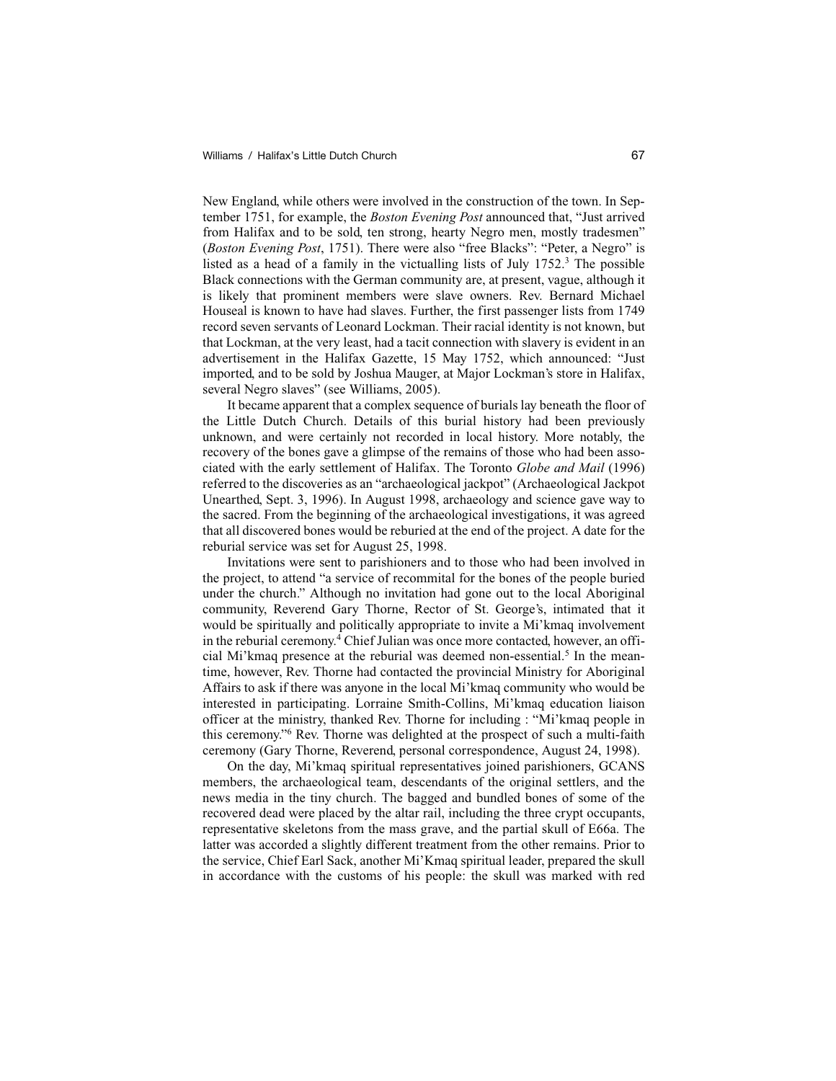New England, while others were involved in the construction of the town. In September 1751, for example, the *Boston Evening Post* announced that, "Just arrived from Halifax and to be sold, ten strong, hearty Negro men, mostly tradesmen" (*Boston Evening Post*, 1751). There were also "free Blacks": "Peter, a Negro" is listed as a head of a family in the victualling lists of July  $1752$ .<sup>3</sup> The possible Black connections with the German community are, at present, vague, although it is likely that prominent members were slave owners. Rev. Bernard Michael Houseal is known to have had slaves. Further, the first passenger lists from 1749 record seven servants of Leonard Lockman. Their racial identity is not known, but that Lockman, at the very least, had a tacit connection with slavery is evident in an advertisement in the Halifax Gazette, 15 May 1752, which announced: "Just imported, and to be sold by Joshua Mauger, at Major Lockman's store in Halifax, several Negro slaves" (see Williams, 2005).

It became apparent that a complex sequence of burials lay beneath the floor of the Little Dutch Church. Details of this burial history had been previously unknown, and were certainly not recorded in local history. More notably, the recovery of the bones gave a glimpse of the remains of those who had been associated with the early settlement of Halifax. The Toronto *Globe and Mail* (1996) referred to the discoveries as an "archaeological jackpot" (Archaeological Jackpot Unearthed, Sept. 3, 1996). In August 1998, archaeology and science gave way to the sacred. From the beginning of the archaeological investigations, it was agreed that all discovered bones would be reburied at the end of the project. A date for the reburial service was set for August 25, 1998.

Invitations were sent to parishioners and to those who had been involved in the project, to attend "a service of recommital for the bones of the people buried under the church." Although no invitation had gone out to the local Aboriginal community, Reverend Gary Thorne, Rector of St. George's, intimated that it would be spiritually and politically appropriate to invite a Mi'kmaq involvement in the reburial ceremony.<sup>4</sup> Chief Julian was once more contacted, however, an official Mi'kmaq presence at the reburial was deemed non-essential.<sup>5</sup> In the meantime, however, Rev. Thorne had contacted the provincial Ministry for Aboriginal Affairs to ask if there was anyone in the local Mi'kmaq community who would be interested in participating. Lorraine Smith-Collins, Mi'kmaq education liaison officer at the ministry, thanked Rev. Thorne for including : "Mi'kmaq people in this ceremony."6 Rev. Thorne was delighted at the prospect of such a multi-faith ceremony (Gary Thorne, Reverend, personal correspondence, August 24, 1998).

On the day, Mi'kmaq spiritual representatives joined parishioners, GCANS members, the archaeological team, descendants of the original settlers, and the news media in the tiny church. The bagged and bundled bones of some of the recovered dead were placed by the altar rail, including the three crypt occupants, representative skeletons from the mass grave, and the partial skull of E66a. The latter was accorded a slightly different treatment from the other remains. Prior to the service, Chief Earl Sack, another Mi'Kmaq spiritual leader, prepared the skull in accordance with the customs of his people: the skull was marked with red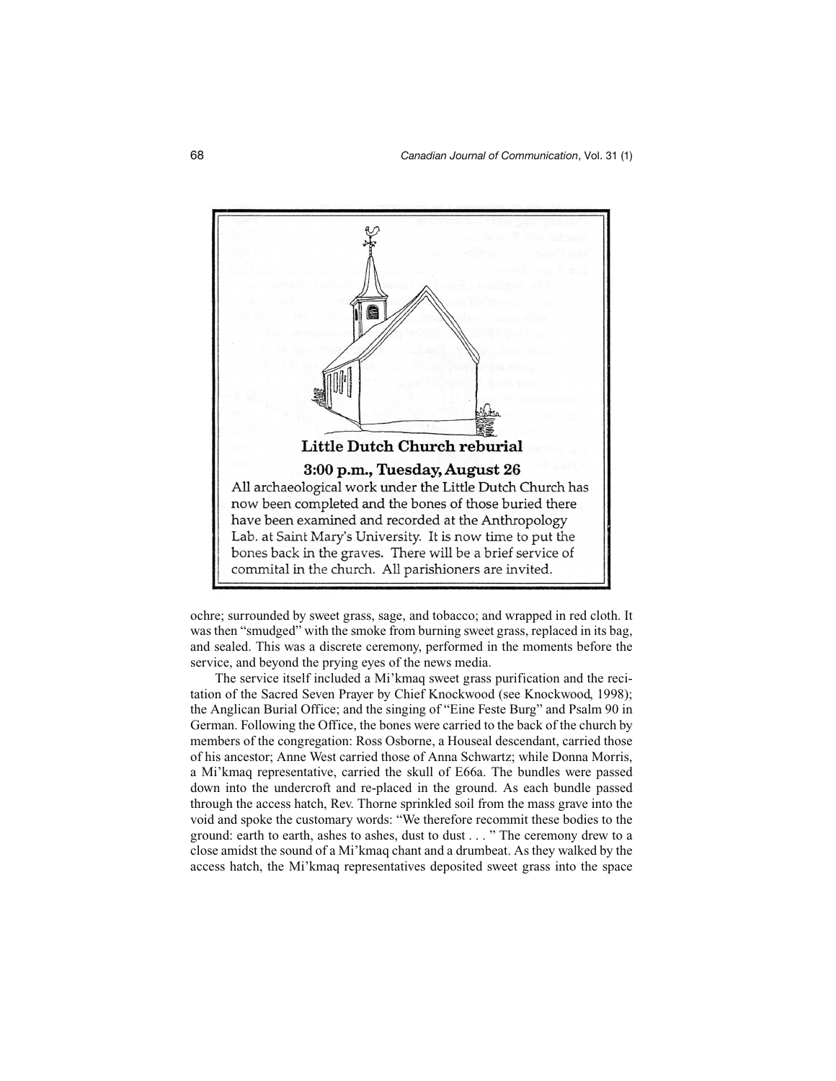

ochre; surrounded by sweet grass, sage, and tobacco; and wrapped in red cloth. It was then "smudged" with the smoke from burning sweet grass, replaced in its bag, and sealed. This was a discrete ceremony, performed in the moments before the service, and beyond the prying eyes of the news media.

The service itself included a Mi'kmaq sweet grass purification and the recitation of the Sacred Seven Prayer by Chief Knockwood (see Knockwood, 1998); the Anglican Burial Office; and the singing of "Eine Feste Burg" and Psalm 90 in German. Following the Office, the bones were carried to the back of the church by members of the congregation: Ross Osborne, a Houseal descendant, carried those of his ancestor; Anne West carried those of Anna Schwartz; while Donna Morris, a Mi'kmaq representative, carried the skull of E66a. The bundles were passed down into the undercroft and re-placed in the ground. As each bundle passed through the access hatch, Rev. Thorne sprinkled soil from the mass grave into the void and spoke the customary words: "We therefore recommit these bodies to the ground: earth to earth, ashes to ashes, dust to dust . . . " The ceremony drew to a close amidst the sound of a Mi'kmaq chant and a drumbeat. As they walked by the access hatch, the Mi'kmaq representatives deposited sweet grass into the space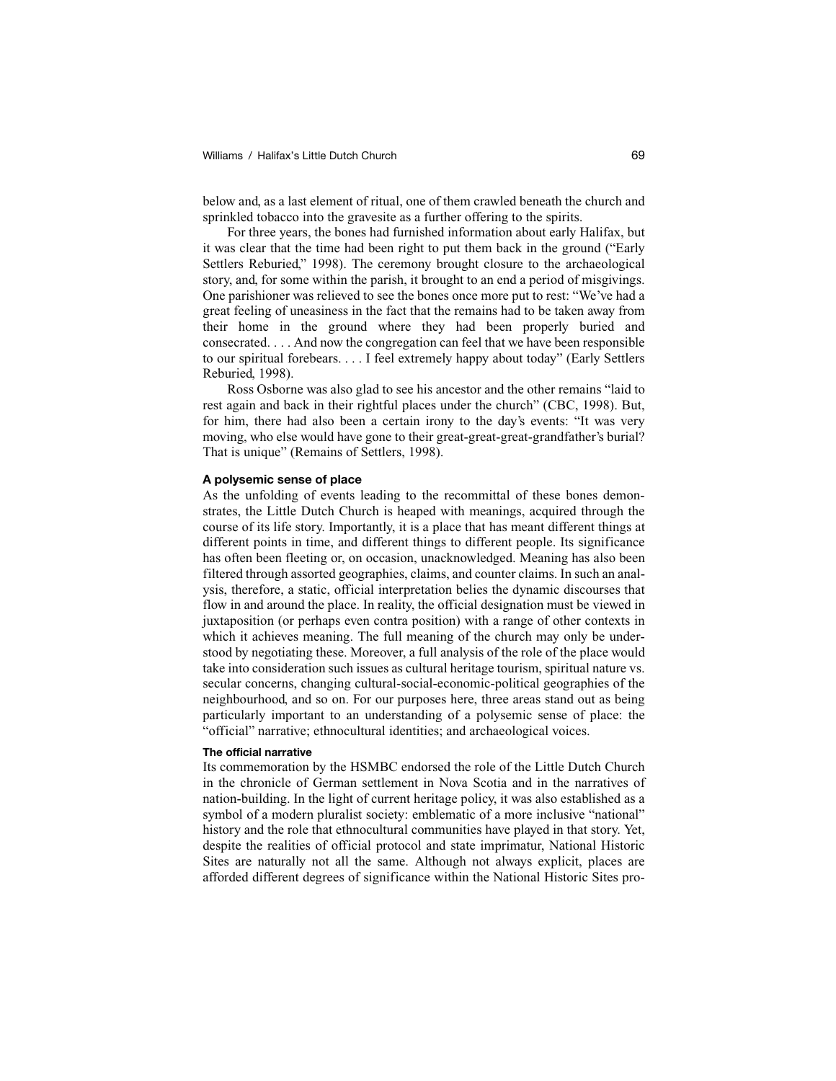below and, as a last element of ritual, one of them crawled beneath the church and sprinkled tobacco into the gravesite as a further offering to the spirits.

For three years, the bones had furnished information about early Halifax, but it was clear that the time had been right to put them back in the ground ("Early Settlers Reburied," 1998). The ceremony brought closure to the archaeological story, and, for some within the parish, it brought to an end a period of misgivings. One parishioner was relieved to see the bones once more put to rest: "We've had a great feeling of uneasiness in the fact that the remains had to be taken away from their home in the ground where they had been properly buried and consecrated. . . . And now the congregation can feel that we have been responsible to our spiritual forebears. . . . I feel extremely happy about today" (Early Settlers Reburied, 1998).

Ross Osborne was also glad to see his ancestor and the other remains "laid to rest again and back in their rightful places under the church" (CBC, 1998). But, for him, there had also been a certain irony to the day's events: "It was very moving, who else would have gone to their great-great-great-grandfather's burial? That is unique" (Remains of Settlers, 1998).

## **A polysemic sense of place**

As the unfolding of events leading to the recommittal of these bones demonstrates, the Little Dutch Church is heaped with meanings, acquired through the course of its life story. Importantly, it is a place that has meant different things at different points in time, and different things to different people. Its significance has often been fleeting or, on occasion, unacknowledged. Meaning has also been filtered through assorted geographies, claims, and counter claims. In such an analysis, therefore, a static, official interpretation belies the dynamic discourses that flow in and around the place. In reality, the official designation must be viewed in juxtaposition (or perhaps even contra position) with a range of other contexts in which it achieves meaning. The full meaning of the church may only be understood by negotiating these. Moreover, a full analysis of the role of the place would take into consideration such issues as cultural heritage tourism, spiritual nature vs. secular concerns, changing cultural-social-economic-political geographies of the neighbourhood, and so on. For our purposes here, three areas stand out as being particularly important to an understanding of a polysemic sense of place: the "official" narrative; ethnocultural identities; and archaeological voices.

#### **The official narrative**

Its commemoration by the HSMBC endorsed the role of the Little Dutch Church in the chronicle of German settlement in Nova Scotia and in the narratives of nation-building. In the light of current heritage policy, it was also established as a symbol of a modern pluralist society: emblematic of a more inclusive "national" history and the role that ethnocultural communities have played in that story. Yet, despite the realities of official protocol and state imprimatur, National Historic Sites are naturally not all the same. Although not always explicit, places are afforded different degrees of significance within the National Historic Sites pro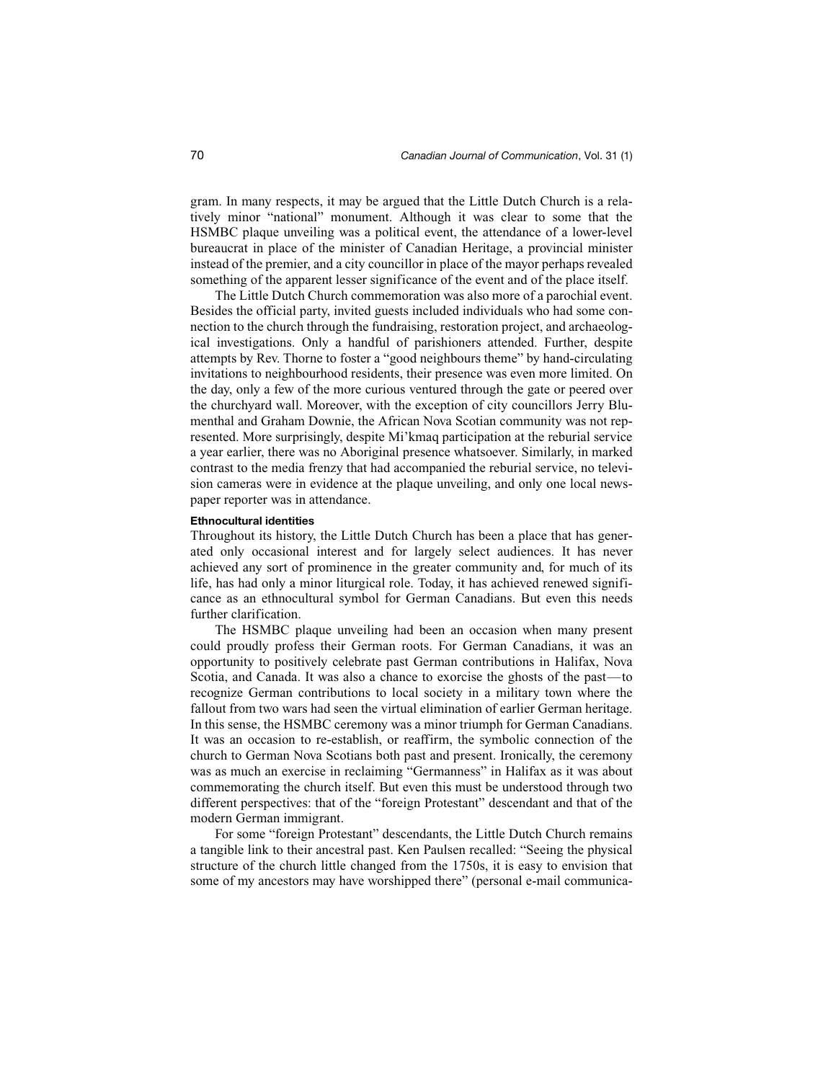gram. In many respects, it may be argued that the Little Dutch Church is a relatively minor "national" monument. Although it was clear to some that the HSMBC plaque unveiling was a political event, the attendance of a lower-level bureaucrat in place of the minister of Canadian Heritage, a provincial minister instead of the premier, and a city councillor in place of the mayor perhaps revealed something of the apparent lesser significance of the event and of the place itself.

The Little Dutch Church commemoration was also more of a parochial event. Besides the official party, invited guests included individuals who had some connection to the church through the fundraising, restoration project, and archaeological investigations. Only a handful of parishioners attended. Further, despite attempts by Rev. Thorne to foster a "good neighbours theme" by hand-circulating invitations to neighbourhood residents, their presence was even more limited. On the day, only a few of the more curious ventured through the gate or peered over the churchyard wall. Moreover, with the exception of city councillors Jerry Blumenthal and Graham Downie, the African Nova Scotian community was not represented. More surprisingly, despite Mi'kmaq participation at the reburial service a year earlier, there was no Aboriginal presence whatsoever. Similarly, in marked contrast to the media frenzy that had accompanied the reburial service, no television cameras were in evidence at the plaque unveiling, and only one local newspaper reporter was in attendance.

#### **Ethnocultural identities**

Throughout its history, the Little Dutch Church has been a place that has generated only occasional interest and for largely select audiences. It has never achieved any sort of prominence in the greater community and, for much of its life, has had only a minor liturgical role. Today, it has achieved renewed significance as an ethnocultural symbol for German Canadians. But even this needs further clarification.

The HSMBC plaque unveiling had been an occasion when many present could proudly profess their German roots. For German Canadians, it was an opportunity to positively celebrate past German contributions in Halifax, Nova Scotia, and Canada. It was also a chance to exorcise the ghosts of the past—to recognize German contributions to local society in a military town where the fallout from two wars had seen the virtual elimination of earlier German heritage. In this sense, the HSMBC ceremony was a minor triumph for German Canadians. It was an occasion to re-establish, or reaffirm, the symbolic connection of the church to German Nova Scotians both past and present. Ironically, the ceremony was as much an exercise in reclaiming "Germanness" in Halifax as it was about commemorating the church itself. But even this must be understood through two different perspectives: that of the "foreign Protestant" descendant and that of the modern German immigrant.

For some "foreign Protestant" descendants, the Little Dutch Church remains a tangible link to their ancestral past. Ken Paulsen recalled: "Seeing the physical structure of the church little changed from the 1750s, it is easy to envision that some of my ancestors may have worshipped there" (personal e-mail communica-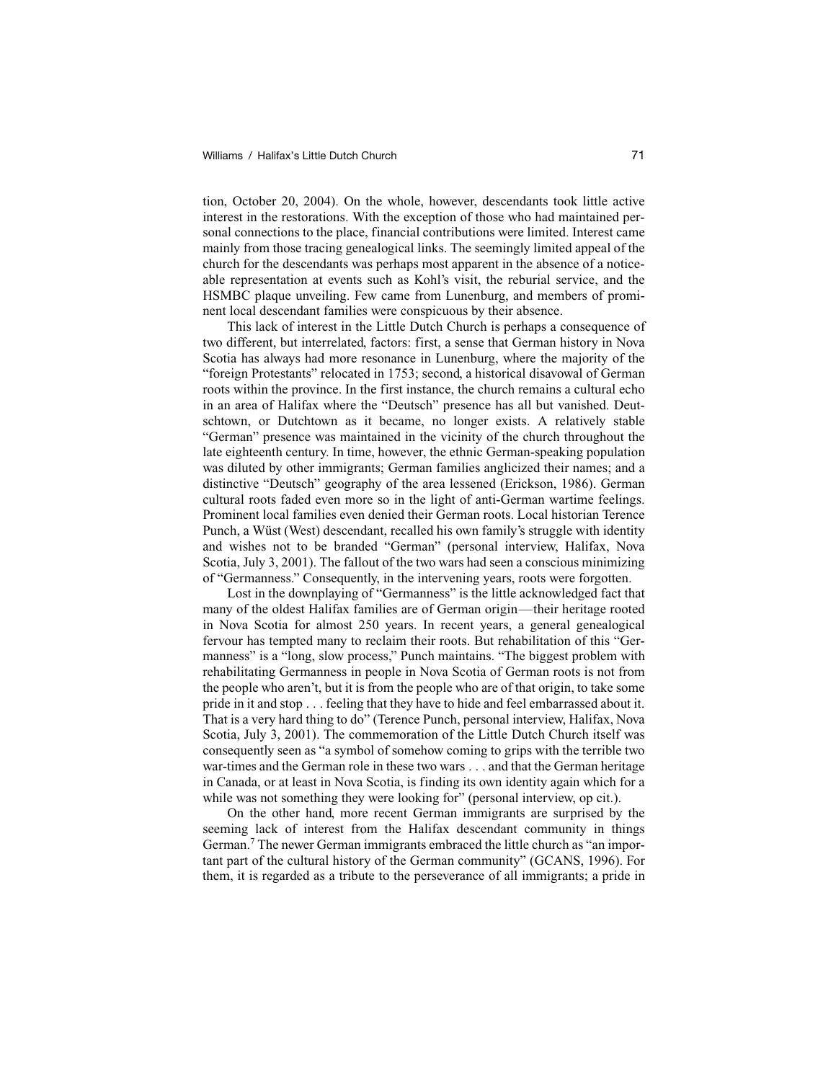tion, October 20, 2004). On the whole, however, descendants took little active interest in the restorations. With the exception of those who had maintained personal connections to the place, financial contributions were limited. Interest came mainly from those tracing genealogical links. The seemingly limited appeal of the church for the descendants was perhaps most apparent in the absence of a noticeable representation at events such as Kohl's visit, the reburial service, and the HSMBC plaque unveiling. Few came from Lunenburg, and members of prominent local descendant families were conspicuous by their absence.

This lack of interest in the Little Dutch Church is perhaps a consequence of two different, but interrelated, factors: first, a sense that German history in Nova Scotia has always had more resonance in Lunenburg, where the majority of the "foreign Protestants" relocated in 1753; second, a historical disavowal of German roots within the province. In the first instance, the church remains a cultural echo in an area of Halifax where the "Deutsch" presence has all but vanished. Deutschtown, or Dutchtown as it became, no longer exists. A relatively stable "German" presence was maintained in the vicinity of the church throughout the late eighteenth century. In time, however, the ethnic German-speaking population was diluted by other immigrants; German families anglicized their names; and a distinctive "Deutsch" geography of the area lessened (Erickson, 1986). German cultural roots faded even more so in the light of anti-German wartime feelings. Prominent local families even denied their German roots. Local historian Terence Punch, a Wüst (West) descendant, recalled his own family's struggle with identity and wishes not to be branded "German" (personal interview, Halifax, Nova Scotia, July 3, 2001). The fallout of the two wars had seen a conscious minimizing of "Germanness." Consequently, in the intervening years, roots were forgotten.

Lost in the downplaying of "Germanness" is the little acknowledged fact that many of the oldest Halifax families are of German origin—their heritage rooted in Nova Scotia for almost 250 years. In recent years, a general genealogical fervour has tempted many to reclaim their roots. But rehabilitation of this "Germanness" is a "long, slow process," Punch maintains. "The biggest problem with rehabilitating Germanness in people in Nova Scotia of German roots is not from the people who aren't, but it is from the people who are of that origin, to take some pride in it and stop . . . feeling that they have to hide and feel embarrassed about it. That is a very hard thing to do" (Terence Punch, personal interview, Halifax, Nova Scotia, July 3, 2001). The commemoration of the Little Dutch Church itself was consequently seen as "a symbol of somehow coming to grips with the terrible two war-times and the German role in these two wars . . . and that the German heritage in Canada, or at least in Nova Scotia, is finding its own identity again which for a while was not something they were looking for" (personal interview, op cit.).

On the other hand, more recent German immigrants are surprised by the seeming lack of interest from the Halifax descendant community in things German.<sup>7</sup> The newer German immigrants embraced the little church as "an important part of the cultural history of the German community" (GCANS, 1996). For them, it is regarded as a tribute to the perseverance of all immigrants; a pride in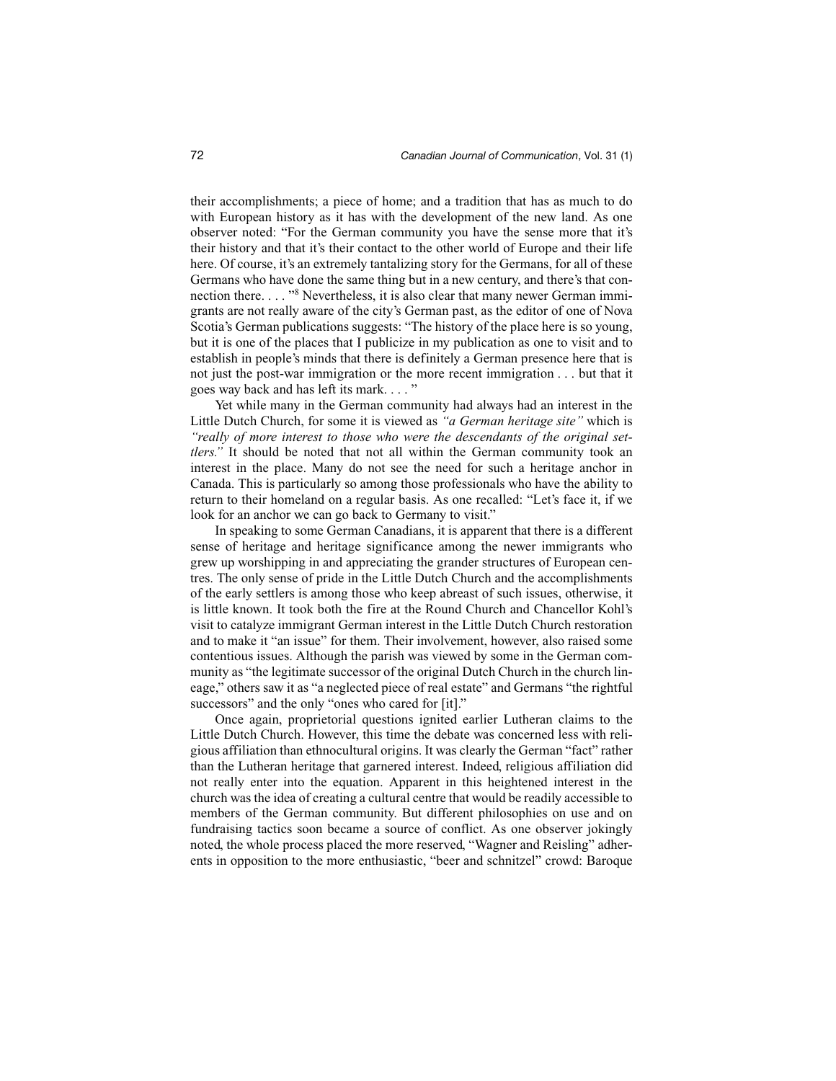their accomplishments; a piece of home; and a tradition that has as much to do with European history as it has with the development of the new land. As one observer noted: "For the German community you have the sense more that it's their history and that it's their contact to the other world of Europe and their life here. Of course, it's an extremely tantalizing story for the Germans, for all of these Germans who have done the same thing but in a new century, and there's that connection there. . . . "<sup>8</sup> Nevertheless, it is also clear that many newer German immigrants are not really aware of the city's German past, as the editor of one of Nova Scotia's German publications suggests: "The history of the place here is so young, but it is one of the places that I publicize in my publication as one to visit and to establish in people's minds that there is definitely a German presence here that is not just the post-war immigration or the more recent immigration . . . but that it goes way back and has left its mark. . . . "

Yet while many in the German community had always had an interest in the Little Dutch Church, for some it is viewed as *"a German heritage site"* which is *"really of more interest to those who were the descendants of the original settlers."* It should be noted that not all within the German community took an interest in the place. Many do not see the need for such a heritage anchor in Canada. This is particularly so among those professionals who have the ability to return to their homeland on a regular basis. As one recalled: "Let's face it, if we look for an anchor we can go back to Germany to visit."

In speaking to some German Canadians, it is apparent that there is a different sense of heritage and heritage significance among the newer immigrants who grew up worshipping in and appreciating the grander structures of European centres. The only sense of pride in the Little Dutch Church and the accomplishments of the early settlers is among those who keep abreast of such issues, otherwise, it is little known. It took both the fire at the Round Church and Chancellor Kohl's visit to catalyze immigrant German interest in the Little Dutch Church restoration and to make it "an issue" for them. Their involvement, however, also raised some contentious issues. Although the parish was viewed by some in the German community as "the legitimate successor of the original Dutch Church in the church lineage," others saw it as "a neglected piece of real estate" and Germans "the rightful successors" and the only "ones who cared for [it]."

Once again, proprietorial questions ignited earlier Lutheran claims to the Little Dutch Church. However, this time the debate was concerned less with religious affiliation than ethnocultural origins. It was clearly the German "fact" rather than the Lutheran heritage that garnered interest. Indeed, religious affiliation did not really enter into the equation. Apparent in this heightened interest in the church was the idea of creating a cultural centre that would be readily accessible to members of the German community. But different philosophies on use and on fundraising tactics soon became a source of conflict. As one observer jokingly noted, the whole process placed the more reserved, "Wagner and Reisling" adherents in opposition to the more enthusiastic, "beer and schnitzel" crowd: Baroque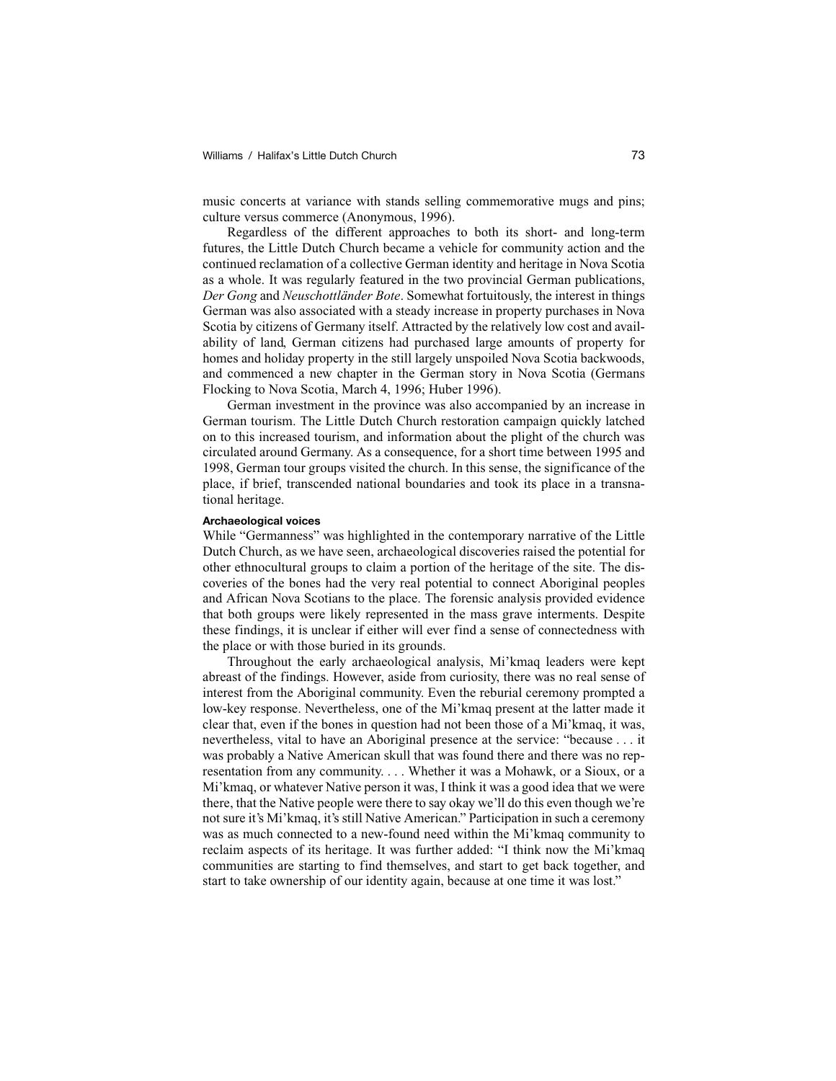music concerts at variance with stands selling commemorative mugs and pins; culture versus commerce (Anonymous, 1996).

Regardless of the different approaches to both its short- and long-term futures, the Little Dutch Church became a vehicle for community action and the continued reclamation of a collective German identity and heritage in Nova Scotia as a whole. It was regularly featured in the two provincial German publications, *Der Gong* and *Neuschottländer Bote*. Somewhat fortuitously, the interest in things German was also associated with a steady increase in property purchases in Nova Scotia by citizens of Germany itself. Attracted by the relatively low cost and availability of land, German citizens had purchased large amounts of property for homes and holiday property in the still largely unspoiled Nova Scotia backwoods, and commenced a new chapter in the German story in Nova Scotia (Germans Flocking to Nova Scotia, March 4, 1996; Huber 1996).

German investment in the province was also accompanied by an increase in German tourism. The Little Dutch Church restoration campaign quickly latched on to this increased tourism, and information about the plight of the church was circulated around Germany. As a consequence, for a short time between 1995 and 1998, German tour groups visited the church. In this sense, the significance of the place, if brief, transcended national boundaries and took its place in a transnational heritage.

#### **Archaeological voices**

While "Germanness" was highlighted in the contemporary narrative of the Little Dutch Church, as we have seen, archaeological discoveries raised the potential for other ethnocultural groups to claim a portion of the heritage of the site. The discoveries of the bones had the very real potential to connect Aboriginal peoples and African Nova Scotians to the place. The forensic analysis provided evidence that both groups were likely represented in the mass grave interments. Despite these findings, it is unclear if either will ever find a sense of connectedness with the place or with those buried in its grounds.

Throughout the early archaeological analysis, Mi'kmaq leaders were kept abreast of the findings. However, aside from curiosity, there was no real sense of interest from the Aboriginal community. Even the reburial ceremony prompted a low-key response. Nevertheless, one of the Mi'kmaq present at the latter made it clear that, even if the bones in question had not been those of a Mi'kmaq, it was, nevertheless, vital to have an Aboriginal presence at the service: "because . . . it was probably a Native American skull that was found there and there was no representation from any community. . . . Whether it was a Mohawk, or a Sioux, or a Mi'kmaq, or whatever Native person it was, I think it was a good idea that we were there, that the Native people were there to say okay we'll do this even though we're not sure it's Mi'kmaq, it's still Native American." Participation in such a ceremony was as much connected to a new-found need within the Mi'kmaq community to reclaim aspects of its heritage. It was further added: "I think now the Mi'kmaq communities are starting to find themselves, and start to get back together, and start to take ownership of our identity again, because at one time it was lost."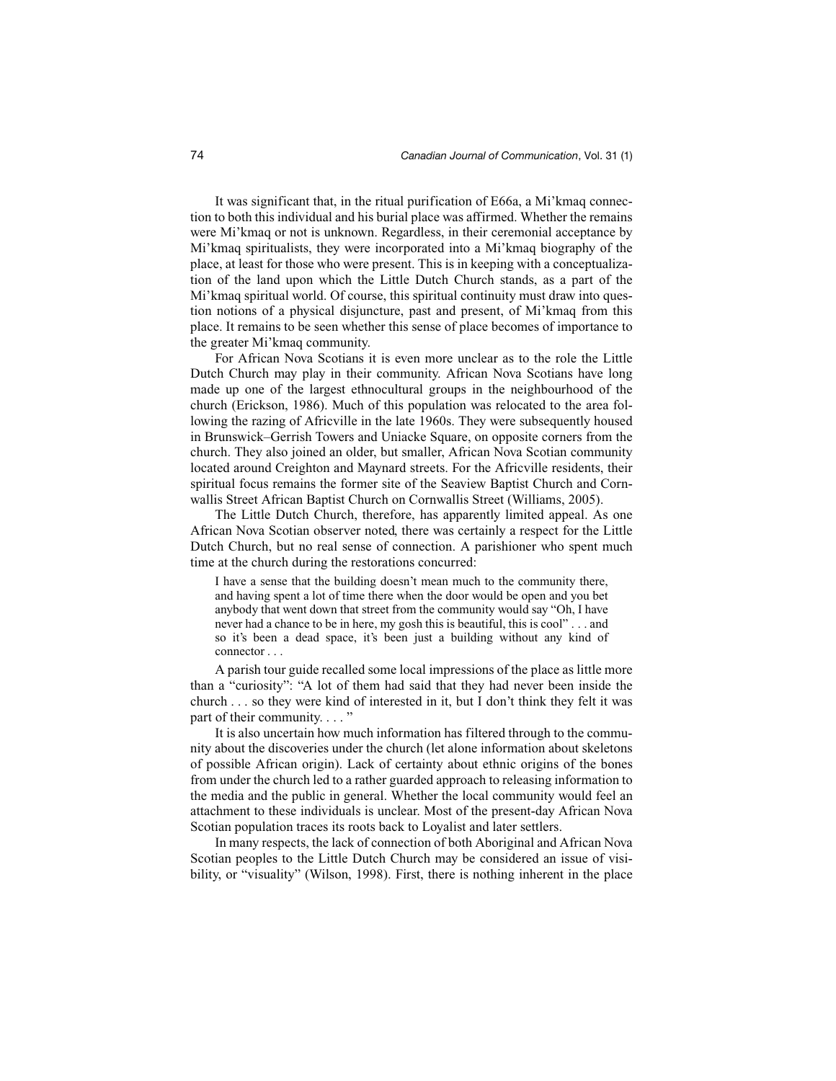It was significant that, in the ritual purification of E66a, a Mi'kmaq connection to both this individual and his burial place was affirmed. Whether the remains were Mi'kmaq or not is unknown. Regardless, in their ceremonial acceptance by Mi'kmaq spiritualists, they were incorporated into a Mi'kmaq biography of the place, at least for those who were present. This is in keeping with a conceptualization of the land upon which the Little Dutch Church stands, as a part of the Mi'kmaq spiritual world. Of course, this spiritual continuity must draw into question notions of a physical disjuncture, past and present, of Mi'kmaq from this place. It remains to be seen whether this sense of place becomes of importance to the greater Mi'kmaq community.

For African Nova Scotians it is even more unclear as to the role the Little Dutch Church may play in their community. African Nova Scotians have long made up one of the largest ethnocultural groups in the neighbourhood of the church (Erickson, 1986). Much of this population was relocated to the area following the razing of Africville in the late 1960s. They were subsequently housed in Brunswick–Gerrish Towers and Uniacke Square, on opposite corners from the church. They also joined an older, but smaller, African Nova Scotian community located around Creighton and Maynard streets. For the Africville residents, their spiritual focus remains the former site of the Seaview Baptist Church and Cornwallis Street African Baptist Church on Cornwallis Street (Williams, 2005).

The Little Dutch Church, therefore, has apparently limited appeal. As one African Nova Scotian observer noted, there was certainly a respect for the Little Dutch Church, but no real sense of connection. A parishioner who spent much time at the church during the restorations concurred:

I have a sense that the building doesn't mean much to the community there, and having spent a lot of time there when the door would be open and you bet anybody that went down that street from the community would say "Oh, I have never had a chance to be in here, my gosh this is beautiful, this is cool" . . . and so it's been a dead space, it's been just a building without any kind of connector . . .

A parish tour guide recalled some local impressions of the place as little more than a "curiosity": "A lot of them had said that they had never been inside the church . . . so they were kind of interested in it, but I don't think they felt it was part of their community. . . . "

It is also uncertain how much information has filtered through to the community about the discoveries under the church (let alone information about skeletons of possible African origin). Lack of certainty about ethnic origins of the bones from under the church led to a rather guarded approach to releasing information to the media and the public in general. Whether the local community would feel an attachment to these individuals is unclear. Most of the present-day African Nova Scotian population traces its roots back to Loyalist and later settlers.

In many respects, the lack of connection of both Aboriginal and African Nova Scotian peoples to the Little Dutch Church may be considered an issue of visibility, or "visuality" (Wilson, 1998). First, there is nothing inherent in the place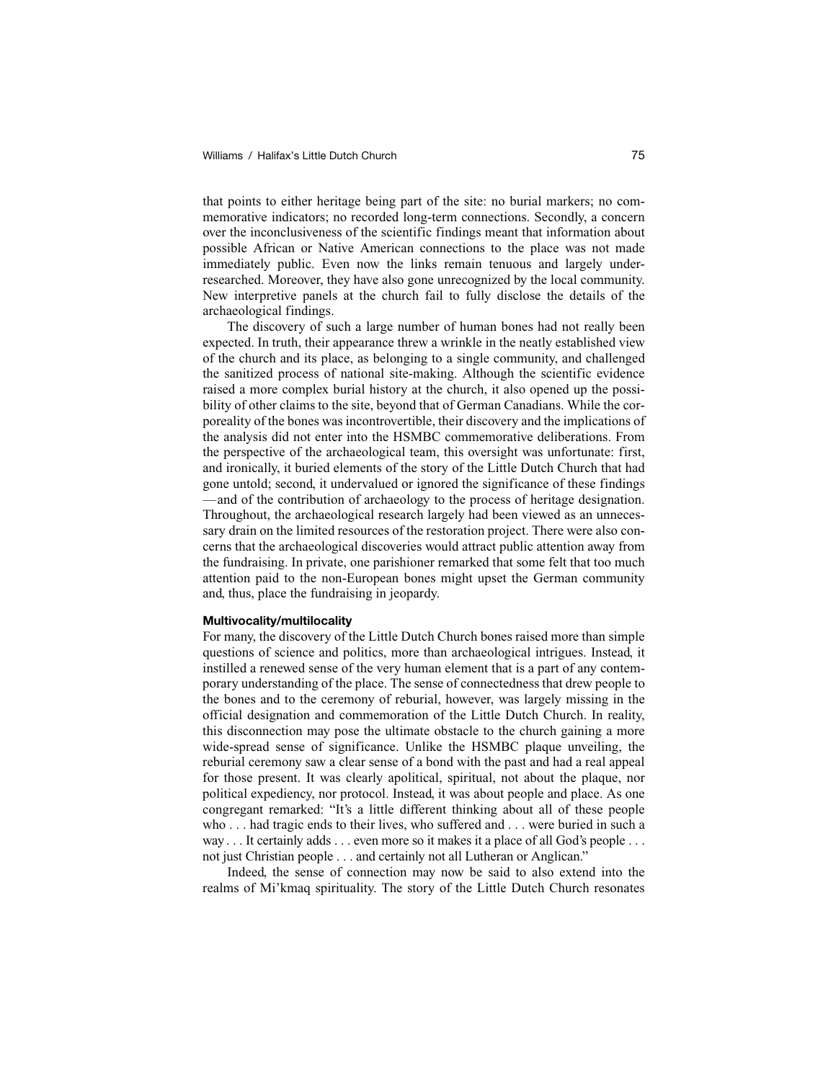that points to either heritage being part of the site: no burial markers; no commemorative indicators; no recorded long-term connections. Secondly, a concern over the inconclusiveness of the scientific findings meant that information about possible African or Native American connections to the place was not made immediately public. Even now the links remain tenuous and largely underresearched. Moreover, they have also gone unrecognized by the local community. New interpretive panels at the church fail to fully disclose the details of the archaeological findings.

The discovery of such a large number of human bones had not really been expected. In truth, their appearance threw a wrinkle in the neatly established view of the church and its place, as belonging to a single community, and challenged the sanitized process of national site-making. Although the scientific evidence raised a more complex burial history at the church, it also opened up the possibility of other claims to the site, beyond that of German Canadians. While the corporeality of the bones was incontrovertible, their discovery and the implications of the analysis did not enter into the HSMBC commemorative deliberations. From the perspective of the archaeological team, this oversight was unfortunate: first, and ironically, it buried elements of the story of the Little Dutch Church that had gone untold; second, it undervalued or ignored the significance of these findings —and of the contribution of archaeology to the process of heritage designation. Throughout, the archaeological research largely had been viewed as an unnecessary drain on the limited resources of the restoration project. There were also concerns that the archaeological discoveries would attract public attention away from the fundraising. In private, one parishioner remarked that some felt that too much attention paid to the non-European bones might upset the German community and, thus, place the fundraising in jeopardy.

#### **Multivocality/multilocality**

For many, the discovery of the Little Dutch Church bones raised more than simple questions of science and politics, more than archaeological intrigues. Instead, it instilled a renewed sense of the very human element that is a part of any contemporary understanding of the place. The sense of connectedness that drew people to the bones and to the ceremony of reburial, however, was largely missing in the official designation and commemoration of the Little Dutch Church. In reality, this disconnection may pose the ultimate obstacle to the church gaining a more wide-spread sense of significance. Unlike the HSMBC plaque unveiling, the reburial ceremony saw a clear sense of a bond with the past and had a real appeal for those present. It was clearly apolitical, spiritual, not about the plaque, nor political expediency, nor protocol. Instead, it was about people and place. As one congregant remarked: "It's a little different thinking about all of these people who . . . had tragic ends to their lives, who suffered and . . . were buried in such a way . . . It certainly adds . . . even more so it makes it a place of all God's people . . . not just Christian people . . . and certainly not all Lutheran or Anglican."

Indeed, the sense of connection may now be said to also extend into the realms of Mi'kmaq spirituality. The story of the Little Dutch Church resonates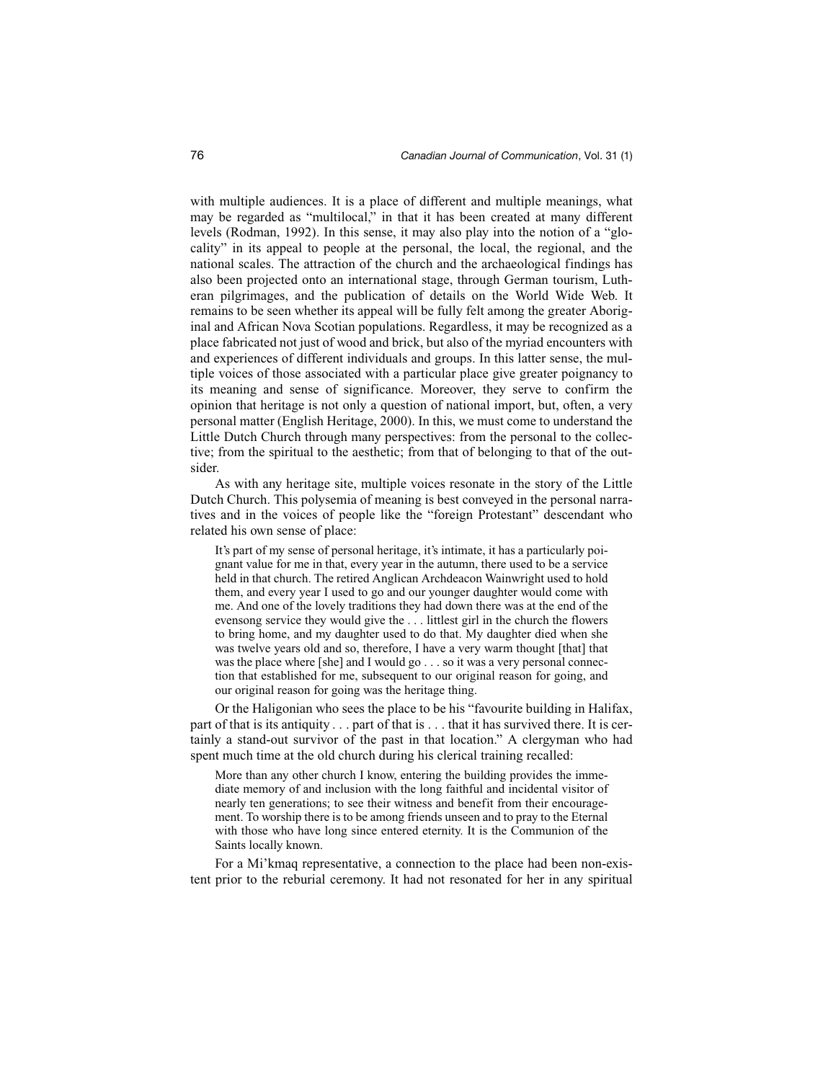with multiple audiences. It is a place of different and multiple meanings, what may be regarded as "multilocal," in that it has been created at many different levels (Rodman, 1992). In this sense, it may also play into the notion of a "glocality" in its appeal to people at the personal, the local, the regional, and the national scales. The attraction of the church and the archaeological findings has also been projected onto an international stage, through German tourism, Lutheran pilgrimages, and the publication of details on the World Wide Web. It remains to be seen whether its appeal will be fully felt among the greater Aboriginal and African Nova Scotian populations. Regardless, it may be recognized as a place fabricated not just of wood and brick, but also of the myriad encounters with and experiences of different individuals and groups. In this latter sense, the multiple voices of those associated with a particular place give greater poignancy to its meaning and sense of significance. Moreover, they serve to confirm the opinion that heritage is not only a question of national import, but, often, a very personal matter (English Heritage, 2000). In this, we must come to understand the Little Dutch Church through many perspectives: from the personal to the collective; from the spiritual to the aesthetic; from that of belonging to that of the outsider.

As with any heritage site, multiple voices resonate in the story of the Little Dutch Church. This polysemia of meaning is best conveyed in the personal narratives and in the voices of people like the "foreign Protestant" descendant who related his own sense of place:

It's part of my sense of personal heritage, it's intimate, it has a particularly poignant value for me in that, every year in the autumn, there used to be a service held in that church. The retired Anglican Archdeacon Wainwright used to hold them, and every year I used to go and our younger daughter would come with me. And one of the lovely traditions they had down there was at the end of the evensong service they would give the . . . littlest girl in the church the flowers to bring home, and my daughter used to do that. My daughter died when she was twelve years old and so, therefore, I have a very warm thought [that] that was the place where [she] and I would go . . . so it was a very personal connection that established for me, subsequent to our original reason for going, and our original reason for going was the heritage thing.

Or the Haligonian who sees the place to be his "favourite building in Halifax, part of that is its antiquity . . . part of that is . . . that it has survived there. It is certainly a stand-out survivor of the past in that location." A clergyman who had spent much time at the old church during his clerical training recalled:

More than any other church I know, entering the building provides the immediate memory of and inclusion with the long faithful and incidental visitor of nearly ten generations; to see their witness and benefit from their encouragement. To worship there is to be among friends unseen and to pray to the Eternal with those who have long since entered eternity. It is the Communion of the Saints locally known.

For a Mi'kmaq representative, a connection to the place had been non-existent prior to the reburial ceremony. It had not resonated for her in any spiritual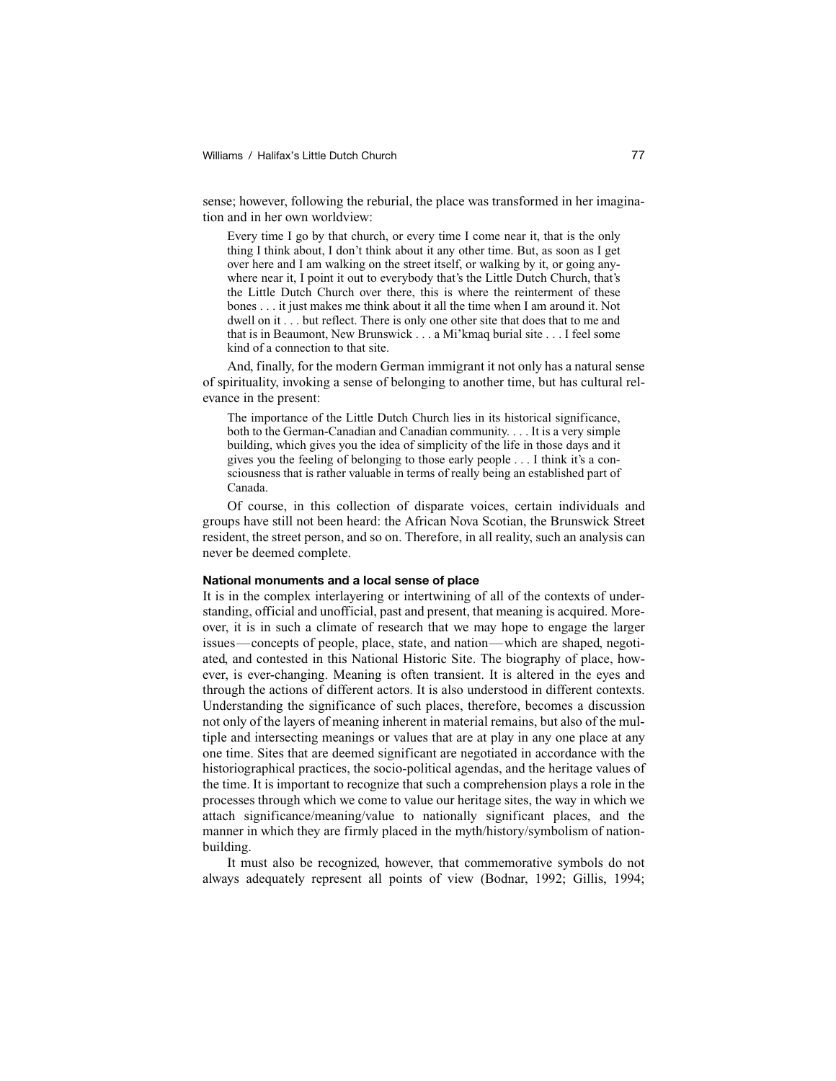sense; however, following the reburial, the place was transformed in her imagination and in her own worldview:

Every time I go by that church, or every time I come near it, that is the only thing I think about, I don't think about it any other time. But, as soon as I get over here and I am walking on the street itself, or walking by it, or going anywhere near it, I point it out to everybody that's the Little Dutch Church, that's the Little Dutch Church over there, this is where the reinterment of these bones . . . it just makes me think about it all the time when I am around it. Not dwell on it . . . but reflect. There is only one other site that does that to me and that is in Beaumont, New Brunswick . . . a Mi'kmaq burial site . . . I feel some kind of a connection to that site.

And, finally, for the modern German immigrant it not only has a natural sense of spirituality, invoking a sense of belonging to another time, but has cultural relevance in the present:

The importance of the Little Dutch Church lies in its historical significance, both to the German-Canadian and Canadian community. . . . It is a very simple building, which gives you the idea of simplicity of the life in those days and it gives you the feeling of belonging to those early people . . . I think it's a consciousness that is rather valuable in terms of really being an established part of Canada.

Of course, in this collection of disparate voices, certain individuals and groups have still not been heard: the African Nova Scotian, the Brunswick Street resident, the street person, and so on. Therefore, in all reality, such an analysis can never be deemed complete.

#### **National monuments and a local sense of place**

It is in the complex interlayering or intertwining of all of the contexts of understanding, official and unofficial, past and present, that meaning is acquired. Moreover, it is in such a climate of research that we may hope to engage the larger issues—concepts of people, place, state, and nation—which are shaped, negotiated, and contested in this National Historic Site. The biography of place, however, is ever-changing. Meaning is often transient. It is altered in the eyes and through the actions of different actors. It is also understood in different contexts. Understanding the significance of such places, therefore, becomes a discussion not only of the layers of meaning inherent in material remains, but also of the multiple and intersecting meanings or values that are at play in any one place at any one time. Sites that are deemed significant are negotiated in accordance with the historiographical practices, the socio-political agendas, and the heritage values of the time. It is important to recognize that such a comprehension plays a role in the processes through which we come to value our heritage sites, the way in which we attach significance/meaning/value to nationally significant places, and the manner in which they are firmly placed in the myth/history/symbolism of nationbuilding.

It must also be recognized, however, that commemorative symbols do not always adequately represent all points of view (Bodnar, 1992; Gillis, 1994;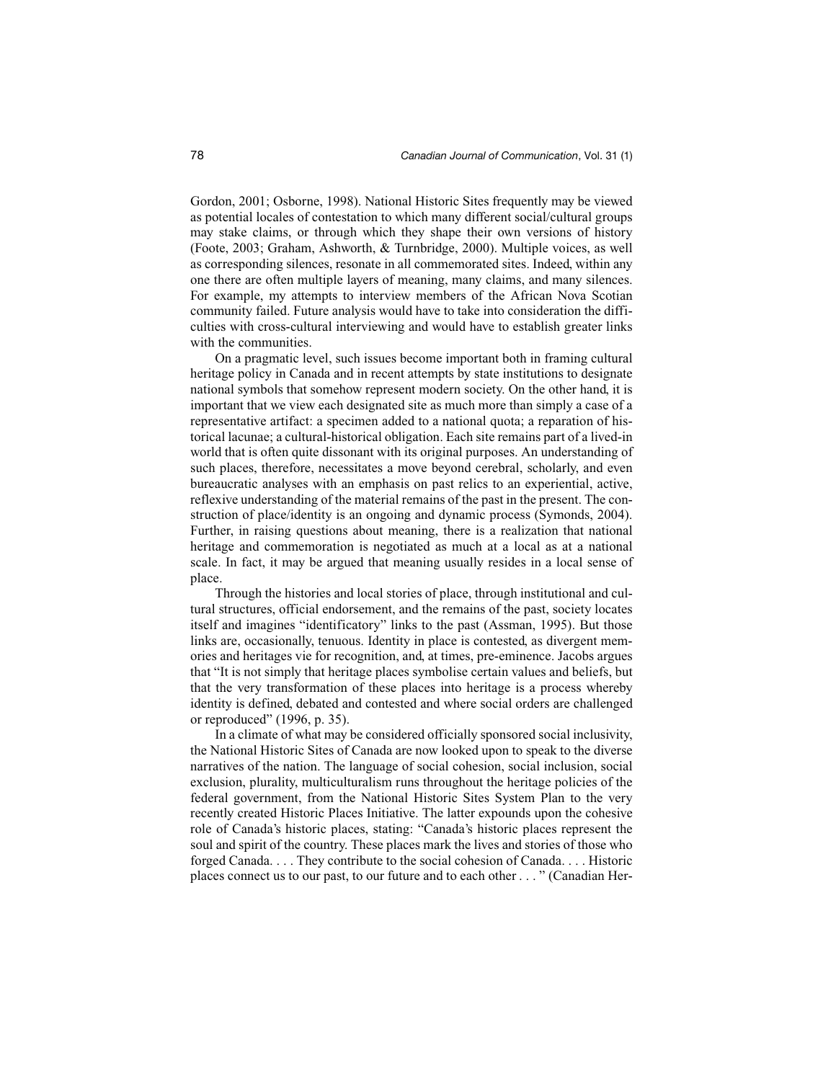Gordon, 2001; Osborne, 1998). National Historic Sites frequently may be viewed as potential locales of contestation to which many different social/cultural groups may stake claims, or through which they shape their own versions of history (Foote, 2003; Graham, Ashworth, & Turnbridge, 2000). Multiple voices, as well as corresponding silences, resonate in all commemorated sites. Indeed, within any one there are often multiple layers of meaning, many claims, and many silences. For example, my attempts to interview members of the African Nova Scotian community failed. Future analysis would have to take into consideration the difficulties with cross-cultural interviewing and would have to establish greater links with the communities.

On a pragmatic level, such issues become important both in framing cultural heritage policy in Canada and in recent attempts by state institutions to designate national symbols that somehow represent modern society. On the other hand, it is important that we view each designated site as much more than simply a case of a representative artifact: a specimen added to a national quota; a reparation of historical lacunae; a cultural-historical obligation. Each site remains part of a lived-in world that is often quite dissonant with its original purposes. An understanding of such places, therefore, necessitates a move beyond cerebral, scholarly, and even bureaucratic analyses with an emphasis on past relics to an experiential, active, reflexive understanding of the material remains of the past in the present. The construction of place/identity is an ongoing and dynamic process (Symonds, 2004). Further, in raising questions about meaning, there is a realization that national heritage and commemoration is negotiated as much at a local as at a national scale. In fact, it may be argued that meaning usually resides in a local sense of place.

Through the histories and local stories of place, through institutional and cultural structures, official endorsement, and the remains of the past, society locates itself and imagines "identificatory" links to the past (Assman, 1995). But those links are, occasionally, tenuous. Identity in place is contested, as divergent memories and heritages vie for recognition, and, at times, pre-eminence. Jacobs argues that "It is not simply that heritage places symbolise certain values and beliefs, but that the very transformation of these places into heritage is a process whereby identity is defined, debated and contested and where social orders are challenged or reproduced" (1996, p. 35).

In a climate of what may be considered officially sponsored social inclusivity, the National Historic Sites of Canada are now looked upon to speak to the diverse narratives of the nation. The language of social cohesion, social inclusion, social exclusion, plurality, multiculturalism runs throughout the heritage policies of the federal government, from the National Historic Sites System Plan to the very recently created Historic Places Initiative. The latter expounds upon the cohesive role of Canada's historic places, stating: "Canada's historic places represent the soul and spirit of the country. These places mark the lives and stories of those who forged Canada. . . . They contribute to the social cohesion of Canada. . . . Historic places connect us to our past, to our future and to each other . . . " (Canadian Her-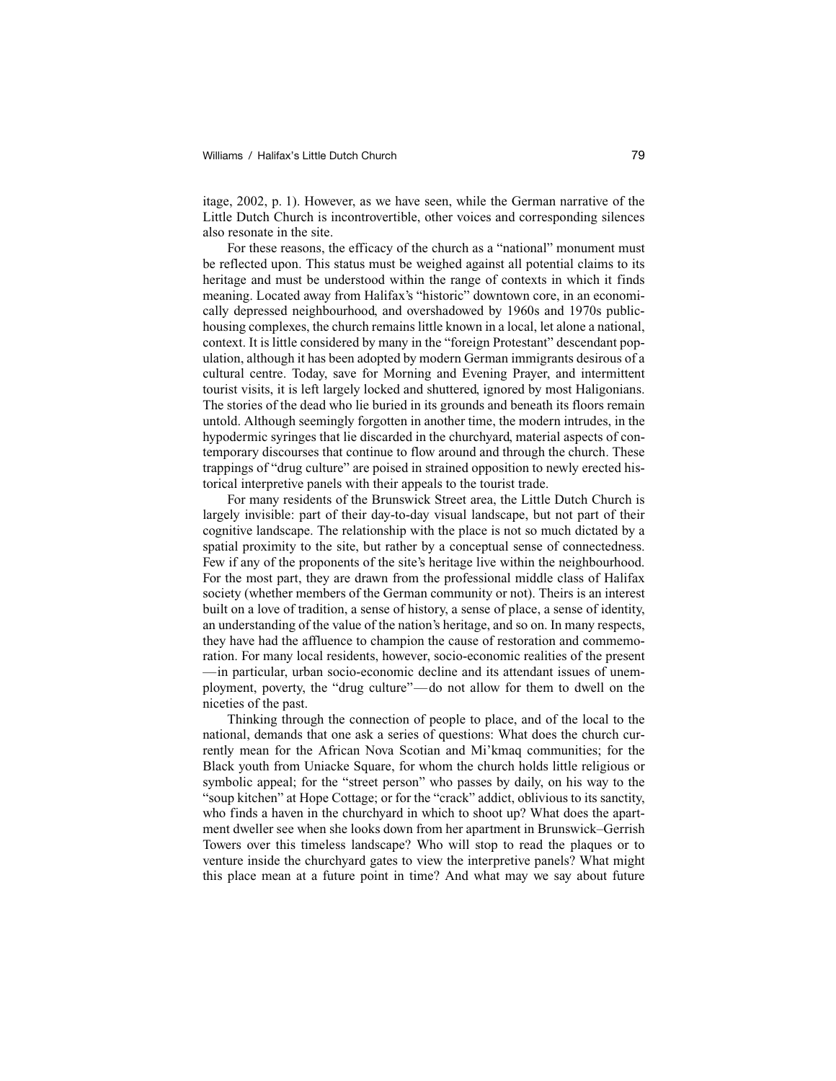itage, 2002, p. 1). However, as we have seen, while the German narrative of the Little Dutch Church is incontrovertible, other voices and corresponding silences also resonate in the site.

For these reasons, the efficacy of the church as a "national" monument must be reflected upon. This status must be weighed against all potential claims to its heritage and must be understood within the range of contexts in which it finds meaning. Located away from Halifax's "historic" downtown core, in an economically depressed neighbourhood, and overshadowed by 1960s and 1970s publichousing complexes, the church remains little known in a local, let alone a national, context. It is little considered by many in the "foreign Protestant" descendant population, although it has been adopted by modern German immigrants desirous of a cultural centre. Today, save for Morning and Evening Prayer, and intermittent tourist visits, it is left largely locked and shuttered, ignored by most Haligonians. The stories of the dead who lie buried in its grounds and beneath its floors remain untold. Although seemingly forgotten in another time, the modern intrudes, in the hypodermic syringes that lie discarded in the churchyard, material aspects of contemporary discourses that continue to flow around and through the church. These trappings of "drug culture" are poised in strained opposition to newly erected historical interpretive panels with their appeals to the tourist trade.

For many residents of the Brunswick Street area, the Little Dutch Church is largely invisible: part of their day-to-day visual landscape, but not part of their cognitive landscape. The relationship with the place is not so much dictated by a spatial proximity to the site, but rather by a conceptual sense of connectedness. Few if any of the proponents of the site's heritage live within the neighbourhood. For the most part, they are drawn from the professional middle class of Halifax society (whether members of the German community or not). Theirs is an interest built on a love of tradition, a sense of history, a sense of place, a sense of identity, an understanding of the value of the nation's heritage, and so on. In many respects, they have had the affluence to champion the cause of restoration and commemoration. For many local residents, however, socio-economic realities of the present —in particular, urban socio-economic decline and its attendant issues of unemployment, poverty, the "drug culture"—do not allow for them to dwell on the niceties of the past.

Thinking through the connection of people to place, and of the local to the national, demands that one ask a series of questions: What does the church currently mean for the African Nova Scotian and Mi'kmaq communities; for the Black youth from Uniacke Square, for whom the church holds little religious or symbolic appeal; for the "street person" who passes by daily, on his way to the "soup kitchen" at Hope Cottage; or for the "crack" addict, oblivious to its sanctity, who finds a haven in the churchyard in which to shoot up? What does the apartment dweller see when she looks down from her apartment in Brunswick–Gerrish Towers over this timeless landscape? Who will stop to read the plaques or to venture inside the churchyard gates to view the interpretive panels? What might this place mean at a future point in time? And what may we say about future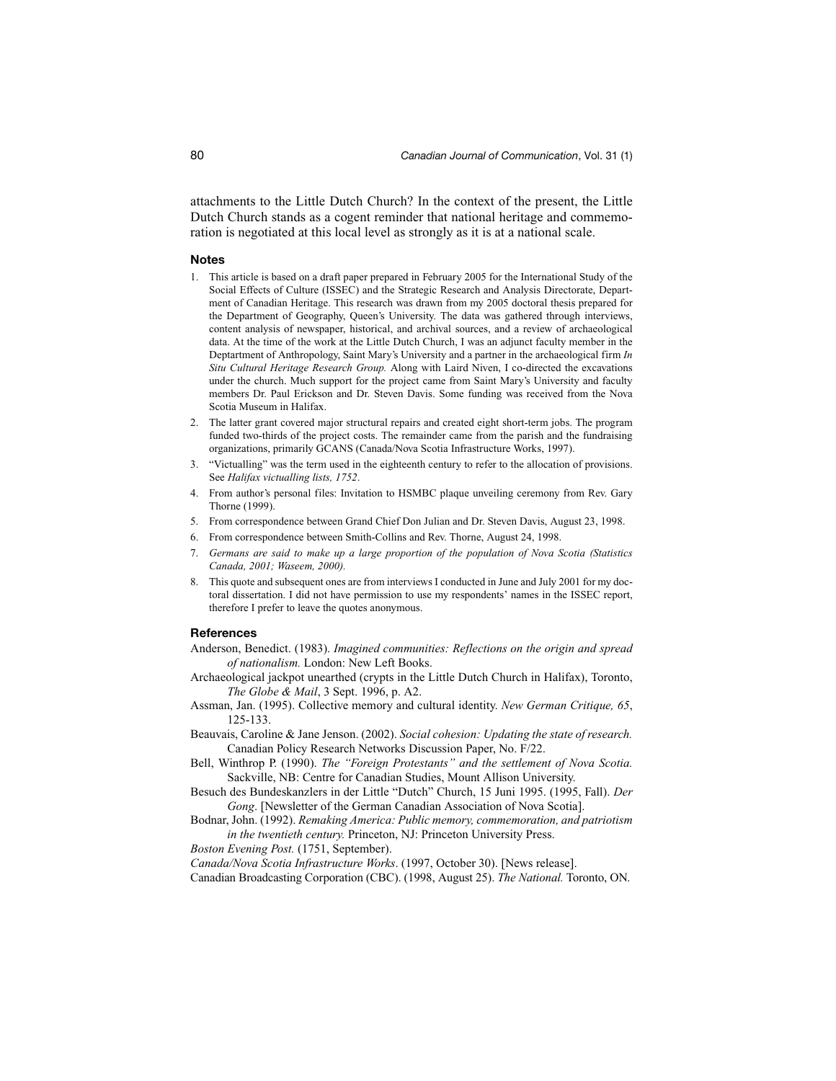attachments to the Little Dutch Church? In the context of the present, the Little Dutch Church stands as a cogent reminder that national heritage and commemoration is negotiated at this local level as strongly as it is at a national scale.

#### **Notes**

- 1. This article is based on a draft paper prepared in February 2005 for the International Study of the Social Effects of Culture (ISSEC) and the Strategic Research and Analysis Directorate, Department of Canadian Heritage. This research was drawn from my 2005 doctoral thesis prepared for the Department of Geography, Queen's University. The data was gathered through interviews, content analysis of newspaper, historical, and archival sources, and a review of archaeological data. At the time of the work at the Little Dutch Church, I was an adjunct faculty member in the Deptartment of Anthropology, Saint Mary's University and a partner in the archaeological firm *In Situ Cultural Heritage Research Group.* Along with Laird Niven, I co-directed the excavations under the church. Much support for the project came from Saint Mary's University and faculty members Dr. Paul Erickson and Dr. Steven Davis. Some funding was received from the Nova Scotia Museum in Halifax.
- 2. The latter grant covered major structural repairs and created eight short-term jobs. The program funded two-thirds of the project costs. The remainder came from the parish and the fundraising organizations, primarily GCANS (Canada/Nova Scotia Infrastructure Works, 1997).
- 3. "Victualling" was the term used in the eighteenth century to refer to the allocation of provisions. See *Halifax victualling lists, 1752*.
- 4. From author's personal files: Invitation to HSMBC plaque unveiling ceremony from Rev. Gary Thorne (1999).
- 5. From correspondence between Grand Chief Don Julian and Dr. Steven Davis, August 23, 1998.
- 6. From correspondence between Smith-Collins and Rev. Thorne, August 24, 1998.
- 7. *Germans are said to make up a large proportion of the population of Nova Scotia (Statistics Canada, 2001; Waseem, 2000).*
- 8. This quote and subsequent ones are from interviews I conducted in June and July 2001 for my doctoral dissertation. I did not have permission to use my respondents' names in the ISSEC report, therefore I prefer to leave the quotes anonymous.

#### **References**

- Anderson, Benedict. (1983). *Imagined communities: Reflections on the origin and spread of nationalism.* London: New Left Books.
- Archaeological jackpot unearthed (crypts in the Little Dutch Church in Halifax), Toronto, *The Globe & Mail*, 3 Sept. 1996, p. A2.
- Assman, Jan. (1995). Collective memory and cultural identity. *New German Critique, 65*, 125-133.
- Beauvais, Caroline & Jane Jenson. (2002). *Social cohesion: Updating the state of research.* Canadian Policy Research Networks Discussion Paper, No. F/22.
- Bell, Winthrop P. (1990). *The "Foreign Protestants" and the settlement of Nova Scotia.* Sackville, NB: Centre for Canadian Studies, Mount Allison University.
- Besuch des Bundeskanzlers in der Little "Dutch" Church, 15 Juni 1995. (1995, Fall). *Der Gong*. [Newsletter of the German Canadian Association of Nova Scotia].
- Bodnar, John. (1992). *Remaking America: Public memory, commemoration, and patriotism in the twentieth century.* Princeton, NJ: Princeton University Press.
- *Boston Evening Post.* (1751, September).

*Canada/Nova Scotia Infrastructure Works*. (1997, October 30). [News release].

Canadian Broadcasting Corporation (CBC). (1998, August 25). *The National.* Toronto, ON.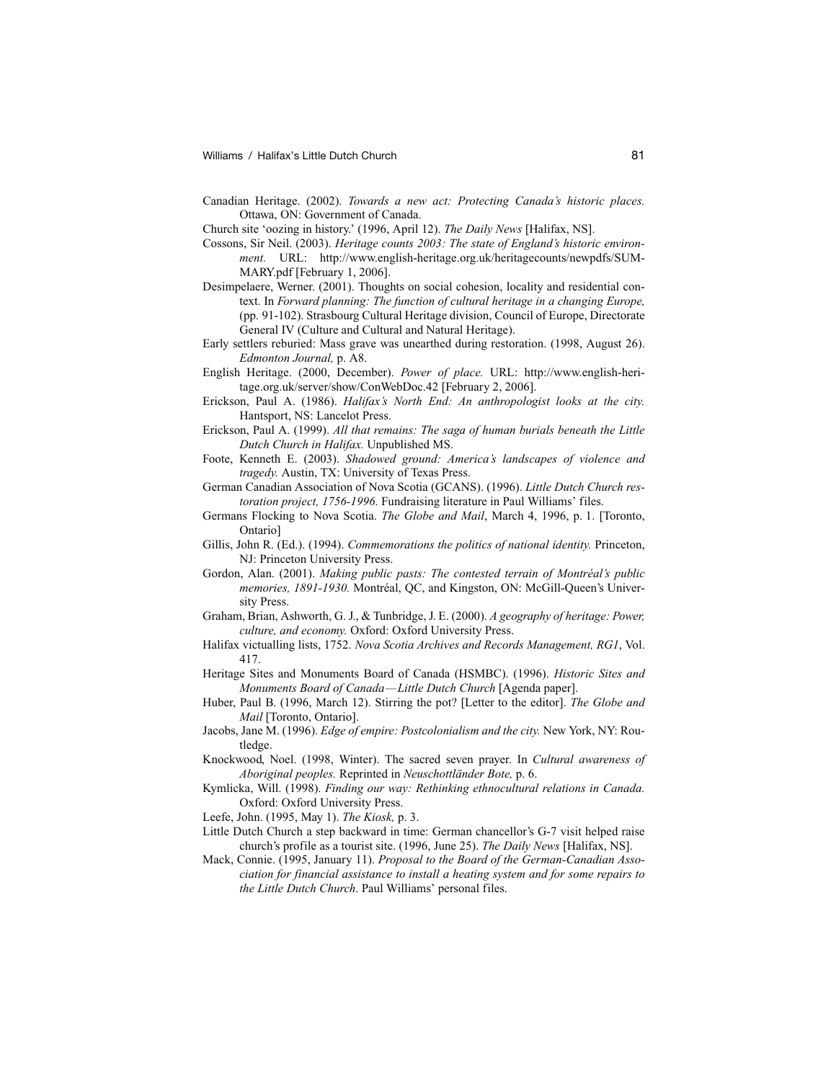- Canadian Heritage. (2002). *Towards a new act: Protecting Canada's historic places.* Ottawa, ON: Government of Canada.
- Church site 'oozing in history.' (1996, April 12). *The Daily News* [Halifax, NS].
- Cossons, Sir Neil. (2003). *Heritage counts 2003: The state of England's historic environment.* URL: http://www.english-heritage.org.uk/heritagecounts/newpdfs/SUM-MARY.pdf [February 1, 2006].
- Desimpelaere, Werner. (2001). Thoughts on social cohesion, locality and residential context. In *Forward planning: The function of cultural heritage in a changing Europe,* (pp. 91-102). Strasbourg Cultural Heritage division, Council of Europe, Directorate General IV (Culture and Cultural and Natural Heritage).
- Early settlers reburied: Mass grave was unearthed during restoration. (1998, August 26). *Edmonton Journal,* p. A8.
- English Heritage. (2000, December). *Power of place.* URL: http://www.english-heritage.org.uk/server/show/ConWebDoc.42 [February 2, 2006].
- Erickson, Paul A. (1986). *Halifax's North End: An anthropologist looks at the city.* Hantsport, NS: Lancelot Press.
- Erickson, Paul A. (1999). *All that remains: The saga of human burials beneath the Little Dutch Church in Halifax.* Unpublished MS.
- Foote, Kenneth E. (2003). *Shadowed ground: America's landscapes of violence and tragedy.* Austin, TX: University of Texas Press.
- German Canadian Association of Nova Scotia (GCANS). (1996). *Little Dutch Church restoration project, 1756-1996*. Fundraising literature in Paul Williams' files.
- Germans Flocking to Nova Scotia. *The Globe and Mail*, March 4, 1996, p. 1. [Toronto, Ontario]
- Gillis, John R. (Ed.). (1994). *Commemorations the politics of national identity.* Princeton, NJ: Princeton University Press.
- Gordon, Alan. (2001). *Making public pasts: The contested terrain of Montréal's public memories, 1891-1930.* Montréal, QC, and Kingston, ON: McGill-Queen's University Press.
- Graham, Brian, Ashworth, G. J., & Tunbridge, J. E. (2000). *A geography of heritage: Power, culture, and economy.* Oxford: Oxford University Press.
- Halifax victualling lists, 1752. *Nova Scotia Archives and Records Management, RG1*, Vol. 417.
- Heritage Sites and Monuments Board of Canada (HSMBC). (1996). *Historic Sites and Monuments Board of Canada—Little Dutch Church* [Agenda paper].
- Huber, Paul B. (1996, March 12). Stirring the pot? [Letter to the editor]. *The Globe and Mail* [Toronto, Ontario].
- Jacobs, Jane M. (1996). *Edge of empire: Postcolonialism and the city.* New York, NY: Routledge.
- Knockwood, Noel. (1998, Winter). The sacred seven prayer. In *Cultural awareness of Aboriginal peoples.* Reprinted in *Neuschottländer Bote,* p. 6.
- Kymlicka, Will. (1998). *Finding our way: Rethinking ethnocultural relations in Canada.* Oxford: Oxford University Press.
- Leefe, John. (1995, May 1). *The Kiosk,* p. 3.
- Little Dutch Church a step backward in time: German chancellor's G-7 visit helped raise church's profile as a tourist site. (1996, June 25). *The Daily News* [Halifax, NS].
- Mack, Connie. (1995, January 11). *Proposal to the Board of the German-Canadian Association for financial assistance to install a heating system and for some repairs to the Little Dutch Church*. Paul Williams' personal files.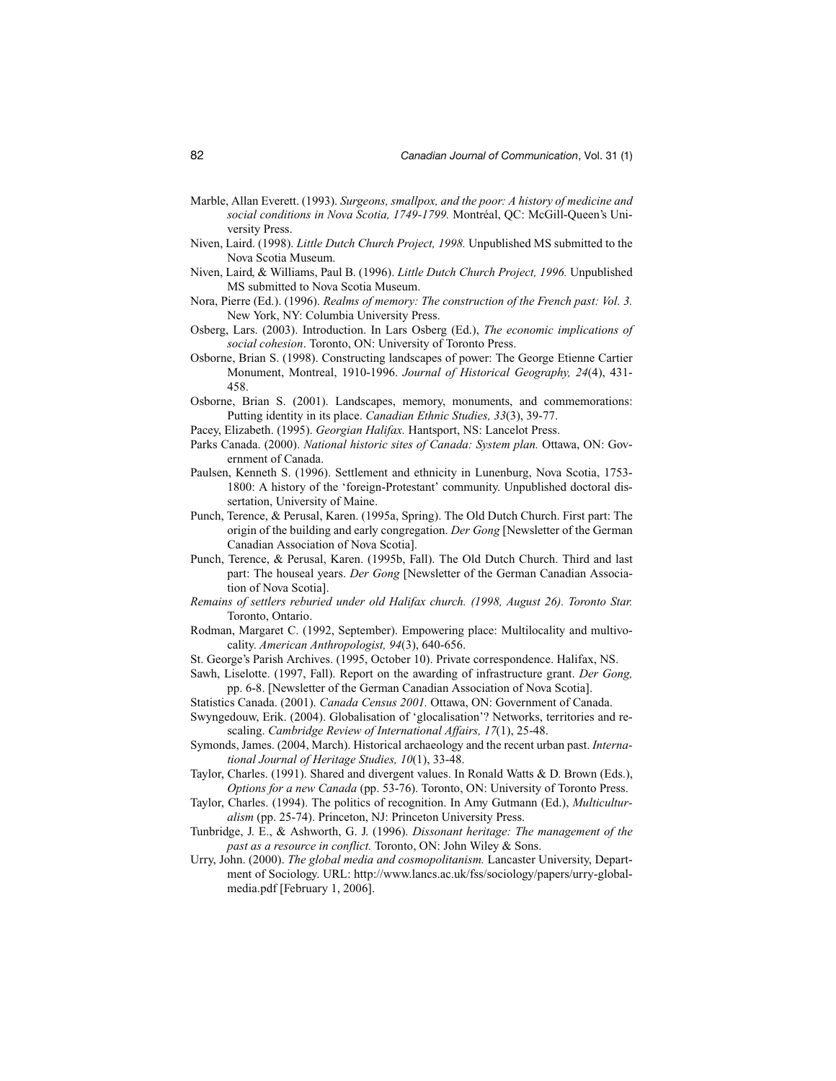- Marble, Allan Everett. (1993). *Surgeons, smallpox, and the poor: A history of medicine and social conditions in Nova Scotia, 1749-1799.* Montréal, QC: McGill-Queen's University Press.
- Niven, Laird. (1998). *Little Dutch Church Project, 1998.* Unpublished MS submitted to the Nova Scotia Museum.
- Niven, Laird, & Williams, Paul B. (1996). *Little Dutch Church Project, 1996.* Unpublished MS submitted to Nova Scotia Museum.
- Nora, Pierre (Ed.). (1996). *Realms of memory: The construction of the French past: Vol. 3.* New York, NY: Columbia University Press.
- Osberg, Lars. (2003). Introduction. In Lars Osberg (Ed.), *The economic implications of social cohesion*. Toronto, ON: University of Toronto Press.
- Osborne, Brian S. (1998). Constructing landscapes of power: The George Etienne Cartier Monument, Montreal, 1910-1996. *Journal of Historical Geography, 24*(4), 431- 458.
- Osborne, Brian S. (2001). Landscapes, memory, monuments, and commemorations: Putting identity in its place. *Canadian Ethnic Studies, 33*(3), 39-77.
- Pacey, Elizabeth. (1995). *Georgian Halifax.* Hantsport, NS: Lancelot Press.
- Parks Canada. (2000). *National historic sites of Canada: System plan.* Ottawa, ON: Government of Canada.
- Paulsen, Kenneth S. (1996). Settlement and ethnicity in Lunenburg, Nova Scotia, 1753- 1800: A history of the 'foreign-Protestant' community. Unpublished doctoral dissertation, University of Maine.
- Punch, Terence, & Perusal, Karen. (1995a, Spring). The Old Dutch Church. First part: The origin of the building and early congregation. *Der Gong* [Newsletter of the German Canadian Association of Nova Scotia].
- Punch, Terence, & Perusal, Karen. (1995b, Fall). The Old Dutch Church. Third and last part: The houseal years. *Der Gong* [Newsletter of the German Canadian Association of Nova Scotia].
- *Remains of settlers reburied under old Halifax church. (1998, August 26). Toronto Star.* Toronto, Ontario.
- Rodman, Margaret C. (1992, September). Empowering place: Multilocality and multivocality. *American Anthropologist, 94*(3), 640-656.
- St. George's Parish Archives. (1995, October 10). Private correspondence. Halifax, NS.
- Sawh, Liselotte. (1997, Fall). Report on the awarding of infrastructure grant. *Der Gong,* pp. 6-8. [Newsletter of the German Canadian Association of Nova Scotia].
- Statistics Canada. (2001). *Canada Census 2001.* Ottawa, ON: Government of Canada.
- Swyngedouw, Erik. (2004). Globalisation of 'glocalisation'? Networks, territories and rescaling. *Cambridge Review of International Affairs, 17*(1), 25-48.
- Symonds, James. (2004, March). Historical archaeology and the recent urban past. *International Journal of Heritage Studies, 10*(1), 33-48.
- Taylor, Charles. (1991). Shared and divergent values. In Ronald Watts & D. Brown (Eds.), *Options for a new Canada* (pp. 53-76). Toronto, ON: University of Toronto Press.
- Taylor, Charles. (1994). The politics of recognition. In Amy Gutmann (Ed.), *Multiculturalism* (pp. 25-74). Princeton, NJ: Princeton University Press.
- Tunbridge, J. E., & Ashworth, G. J. (1996). *Dissonant heritage: The management of the past as a resource in conflict.* Toronto, ON: John Wiley & Sons.
- Urry, John. (2000). *The global media and cosmopolitanism.* Lancaster University, Department of Sociology. URL: http://www.lancs.ac.uk/fss/sociology/papers/urry-globalmedia.pdf [February 1, 2006].